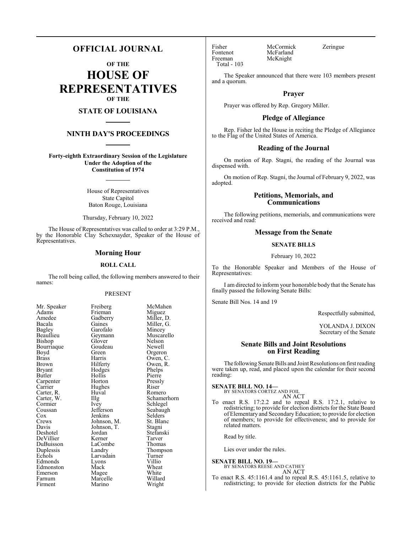# **OFFICIAL JOURNAL**

**OF THE**

**HOUSE OF REPRESENTATIVES OF THE**

# **STATE OF LOUISIANA**

# **NINTH DAY'S PROCEEDINGS**

**Forty-eighth Extraordinary Session of the Legislature Under the Adoption of the Constitution of 1974**

> House of Representatives State Capitol Baton Rouge, Louisiana

Thursday, February 10, 2022

The House of Representatives was called to order at 3:29 P.M., by the Honorable Clay Schexnayder, Speaker of the House of Representatives.

#### **Morning Hour**

#### **ROLL CALL**

The roll being called, the following members answered to their names:

#### PRESENT

Frieman<br>Gadberry

Goudeau

Hollis<br>Horton

Hughes<br>Huval

Lyons<br>Mack

Marino

| Mr. Speaker             |
|-------------------------|
| Adams                   |
| Amedee                  |
| Bacala                  |
| Bagley                  |
| Beaullieu               |
| Bishop                  |
| Bourriaque              |
| Boyd                    |
| <b>Brass</b>            |
| <b>Brown</b>            |
| Bryant                  |
| <b>Butler</b>           |
| Carpenter<br>Carrier    |
|                         |
| Carter, R.              |
| Carter, W.<br>Cormier   |
|                         |
| Coussan                 |
| $\frac{\cos x}{\cos x}$ |
| Crews                   |
| Davis                   |
| Deshotel                |
| DeVillier               |
| DuBuisson               |
| Duplessis               |
| Echols                  |
| Edmonds                 |
| Edmonston               |
| Emerson                 |
| Farnum                  |
| Firment                 |

Freiberg McMahen<br>Frieman Miguez Gadberry Miller, D.<br>Gaines Miller, G. Gaines Miller, G.<br>Garofalo Mincev Garofalo Mincey<br>Geymann Muscare Muscarello<br>Nelson Glover Nelson<br>Goudeau Newell Green Orgeron<br>Harris Owen, C Harris Owen, C.<br>Hilferty Owen, R. Owen, R.<br>Phelps Hodges Phelps<br>
Hollis Pierre Pressly<br>Riser Huval Romero<br>Illg Schamer Illg Schamerhorn<br>Ivey Schlegel Ivey Schlegel<br>Jefferson Seabaugl Jefferson Seabaugh<br>Jenkins Selders Selders<br>St. Blanc Johnson, M. Johnson, T. Stagni<br>Jordan Stefans Stefanski<br>Tarver Kerner Tarver<br>
LaCombe Thomas LaCombe<br>Landry Thompson<br>Turner Larvadain Turner<br>Lyons Villio Wheat<br>White Magee White<br>Marcelle Willard Marcelle Willard<br>
Marino Wright

Fontenot McFarland<br>Freeman McKnight Total - 103

Fisher McCormick Zeringue<br>Fontenot McFarland McKnight

The Speaker announced that there were 103 members present and a quorum.

#### **Prayer**

Prayer was offered by Rep. Gregory Miller.

# **Pledge of Allegiance**

Rep. Fisher led the House in reciting the Pledge of Allegiance to the Flag of the United States of America.

## **Reading of the Journal**

On motion of Rep. Stagni, the reading of the Journal was dispensed with.

On motion of Rep. Stagni, the Journal of February 9, 2022, was adopted.

#### **Petitions, Memorials, and Communications**

The following petitions, memorials, and communications were received and read:

#### **Message from the Senate**

#### **SENATE BILLS**

February 10, 2022

To the Honorable Speaker and Members of the House of Representatives:

I am directed to inform your honorable body that the Senate has finally passed the following Senate Bills:

Senate Bill Nos. 14 and 19

Respectfully submitted,

YOLANDA J. DIXON Secretary of the Senate

## **Senate Bills and Joint Resolutions on First Reading**

The following Senate Bills and Joint Resolutions on first reading were taken up, read, and placed upon the calendar for their second reading:

**SENATE BILL NO. 14—** BY SENATORS CORTEZ AND FOIL

AN ACT

To enact R.S. 17:2.2 and to repeal R.S. 17:2.1, relative to redistricting; to provide for election districts for the State Board of Elementary and SecondaryEducation; to provide for election of members; to provide for effectiveness; and to provide for related matters.

Read by title.

Lies over under the rules.

# **SENATE BILL NO. 19—**

BY SENATORS REESE AND CATHEY AN ACT

To enact R.S. 45:1161.4 and to repeal R.S. 45:1161.5, relative to redistricting; to provide for election districts for the Public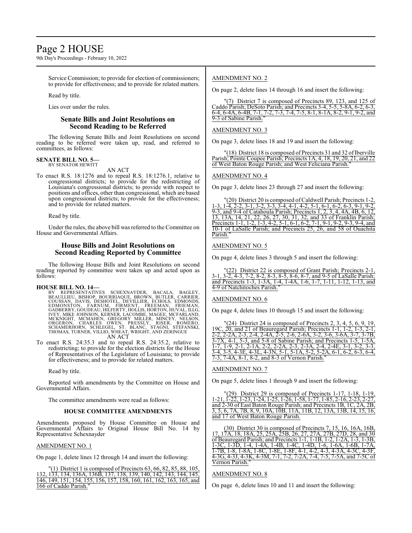# Page 2 HOUSE

9th Day's Proceedings - February 10, 2022

Service Commission; to provide for election of commissioners; to provide for effectiveness; and to provide for related matters.

Read by title.

Lies over under the rules.

## **Senate Bills and Joint Resolutions on Second Reading to be Referred**

The following Senate Bills and Joint Resolutions on second reading to be referred were taken up, read, and referred to committees, as follows:

#### **SENATE BILL NO. 5—** BY SENATOR HEWITT

AN ACT

To enact R.S. 18:1276 and to repeal R.S. 18:1276.1, relative to congressional districts; to provide for the redistricting of Louisiana's congressional districts; to provide with respect to positions and offices, other than congressional, which are based upon congressional districts; to provide for the effectiveness; and to provide for related matters.

Read by title.

Under the rules, the above bill was referred to the Committee on House and Governmental Affairs.

## **House Bills and Joint Resolutions on Second Reading Reported by Committee**

The following House Bills and Joint Resolutions on second reading reported by committee were taken up and acted upon as follows:

#### **HOUSE BILL NO. 14—**

- BY REPRESENTATIVES SCHEXNAYDER, BACALA, BAGLEY,<br>BEAULLIEU, BISHOP, BOURRIAQUE, BROWN, BUTLER, CARRIER,<br>COUSSAN, DAVIS, DESHOTEL, DEVILLIER, ECHOLS, EDMONDS,<br>EDMONSTON, FARNUM, FİRMENT, FREEMAN, FRIEMAN,<br>GADBERRY, GOUDEAU,H AN ACT
- To enact R.S. 24:35.3 and to repeal R.S. 24:35.2, relative to redistricting; to provide for the election districts for the House of Representatives of the Legislature of Louisiana; to provide for effectiveness; and to provide for related matters.

Read by title.

Reported with amendments by the Committee on House and Governmental Affairs.

The committee amendments were read as follows:

#### **HOUSE COMMITTEE AMENDMENTS**

Amendments proposed by House Committee on House and Governmental Affairs to Original House Bill No. 14 by Representative Schexnayder

#### AMENDMENT NO. 1

On page 1, delete lines 12 through 14 and insert the following:

(1) District 1 is composed of Precincts 63, 66, 82, 85, 88, 105, 132, 133, 134, 136A, 136B, 137, 138, 139, 140, 142, 143, 144, 145, 146, 149, 151, 154, 155, 156, 157, 158, 160, 161, 162, 163, 165, and 166 of Caddo Parish."

#### AMENDMENT NO. 2

On page 2, delete lines 14 through 16 and insert the following:

"(7) District 7 is composed of Precincts 89, 123, and 125 of Caddo Parish; DeSoto Parish; and Precincts 3-4, 5-5, 5-8A, 6-2, 6-3, 6-4, 6-4A, 6-4B, 7-1, 7-2, 7-3, 7-4, 7-5, 8-1, 8-1A, 8-2, 9-1, 9-2, and 9-3 of Sabine Parish.

#### AMENDMENT NO. 3

On page 3, delete lines 18 and 19 and insert the following:

(18) District 18 is composed of Precincts 31 and 32 of Iberville Parish; Pointe Coupee Parish; Precincts 1A, 4, 18, 19, 20, 21, and 22 of West Baton Rouge Parish; and West Feliciana Parish."

#### AMENDMENT NO. 4

On page 3, delete lines 23 through 27 and insert the following:

"(20) District 20 is composed of Caldwell Parish; Precincts 1-2 1-3, 1-4, 2-2, 3-1, 3-2, 3-3, 3-4, 4-1, 4-2, 5-1, 6-1, 6-2, 6-3, 9-1, 9-2, 9-3, and 9-4 of Catahoula Parish; Precincts 1, 2, 3, 4, 4A, 4B, 6, 12, 13, 13A, 14, 21, 22, 26, 27, 30, 31, 32, and 33 of Franklin Parish; Precincts 1-1, 1-2, 1-3, 4-2, 5-1, 6-1, 6-2, 7-1, 9-1, 9-2, 9-3, 9-4, and 10-1 of LaSalle Parish; and Precincts 25, 26, and 58 of Ouachita Parish."

#### AMENDMENT NO. 5

On page 4, delete lines 3 through 5 and insert the following:

"(22) District 22 is composed of Grant Parish; Precincts 2-1, 3-1, 3-2, 4-3, 7-2, 8-2, 8-3, 8-5, 8-6, 8-7, and 9-5 of LaSalle Parish; and Precincts 1-3, 1-3A, 1-4, 1-4A, 1-6, 1-7, 1-11, 1-12, 1-13, and 4-9 of Natchitoches Parish."

# AMENDMENT NO. 6

On page 4, delete lines 10 through 15 and insert the following:

| $\Gamma(24)$ District 24 is composed of Precincts 2, 3, 4, 5, 6, 9, 19,             |
|-------------------------------------------------------------------------------------|
| 19C, $20$ , and 21 of Beauregard Parish; Precincts 1-1, 1-2, 1-3, 2-1,              |
| 2-2, 2-2A, 2-3, 2-4, 2-4A, 2-5, 2-6, 2-6A, 3-2, 3-6, 3-6A, 3-7, 3-7B,               |
| $3-7X$ , $4-1$ , $5-3$ , and $5-8$ of Sabine Parish; and Precincts $1-5$ , $1-5A$ , |
| 1-7, 1-9, 2-1, 2-1A, 2-2, 2-2A, 2-3, 2-3A, 2-4, 2-4E, 3-1, 3-2, 3-3,                |
| 3-4, 3-5, 4-3E, 4-3L, 4-3N, 5-1, 5-1A, 5-2, 5-2A, 6-1, 6-2, 6-3, 6-4,               |
| 7-3, 7-4A, 8-1, 8-2, and 8-3 of Vernon Parish."                                     |

### AMENDMENT NO. 7

On page 5, delete lines 1 through 9 and insert the following:

 $(29)$  District 29 is composed of Precincts 1-17, 1-18, 1-19 1-21, 1-22, 1-23, 1-24, 1-25, 1-26, 1-58, 1-77, 1-85, 2-16, 2-23, 2-27, and 2-30 of East Baton Rouge Parish: and Precincts 1B, 1C, 2A, 2B and 2-30 of East Baton Rouge Parish; and Precincts 1B, 1C 3, 5, 6, 7A, 7B, 8, 9, 10A, 10B, 11A, 11B, 12, 13A, 13B, 14, 15, 16, and 17 of West Baton Rouge Parish.

(30) District 30 is composed of Precincts 7, 15, 16, 16A, 16B, 17, 17A, 18, 18A, 25, 25A, 25B, 26, 27, 27A, 27B, 27D, 28, and 30 of Beauregard Parish; and Precincts 1-1, 1-1B, 1-2, 1-2A, 1-3, 1-3B, 1-3C, 1-3D, 1-4, 1-4A, 1-4B, 1-4C, 1-4D, 1-6, 1-6A, 1-6B, 1-7A, 1-7B, 1-8, 1-8A, 1-8C, 1-8E, 1-8F, 4-1, 4-2, 4-3, 4-3A, 4-3C, 4-3F, 4-3G, 4-3J, 4-3K, 4-3M, 7-1, 7-2, 7-2A, 7-4, 7-5, 7-5A, and 7-5C of Vernon Parish."

### AMENDMENT NO. 8

On page 6, delete lines 10 and 11 and insert the following: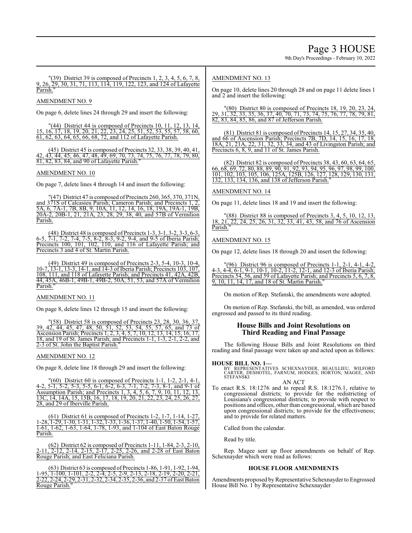$\Gamma(39)$  District 39 is composed of Precincts 1, 2, 3, 4, 5, 6, 7, 8, 9, 26, 29, 30, 31, 71, 113, 114, 119, 122, 123, and 124 of Lafayette Parish."

AMENDMENT NO. 9

On page 6, delete lines 24 through 29 and insert the following:

"(44) District 44 is composed of Precincts 10, 11, 12, 13, 14, 15, 16, 17, 18, 19, 20, 21, 22, 23, 24, 25, 51, 52, 53, 55, 57, 58, 60, 61, 62, 63, 64, 65, 66, 68, 72, and 112 of Lafayette Parish.

(45) District 45 is composed of Precincts 32, 33, 38, 39, 40, 41, 42, 43, 44, 45, 46, 47, 48, 49, 69, 70, 73, 74, 75, 76, 77, 78, 79, 80, 81, 82, 83, 84, and 90 of Lafayette Parish."

### AMENDMENT NO. 10

On page 7, delete lines 4 through 14 and insert the following:

(47) District 47 is composed of Precincts 260, 365, 370, 371N, and 371S of Calcasieu Parish; Cameron Parish; and Precincts 1, 2, 5A, 6, 7A-1, 7B, 8B, 9, 10A, 11, 12, 14, 16, 18, 19A, 19A-1, 19B, 20A-2, 20B-1, 21, 21A, 23, 28, 29, 38, 40, and 57B of Vermilion Parish.

(48) District 48 is composed of Precincts 1-3, 3-1, 3-2, 3-3, 6-3, 6-5, 7-1, 7-2, 7-4, 7-5, 8-2, 8-3, 9-2, 9-4, and 9-5 of Iberia Parish; Precincts 100, 101, 102, 110, and 116 of Lafayette Parish; and Precincts 3 and 4 of St. Martin Parish.

(49) District 49 is composed of Precincts 2-3, 5-4, 10-3, 10-4, 10-7, 13-1, 13-3, 14-1, and 14-3 of Iberia Parish; Precincts 103, 107, 108, 111, and 118 of Lafayette Parish; and Precincts 41, 42A, 42B, 44, 45A, 46B-1, 49B-1, 49B-2, 50A, 51, 53, and 57A of Vermilion Parish."

#### AMENDMENT NO. 11

On page 8, delete lines 12 through 15 and insert the following:

"(58) District 58 is composed of Precincts 23, 28, 30, 36, 37, 39, 42, 44, 45, 47, 48, 50, 51, 52, 53, 54, 55, 57, 65, and 73 of Ascension Parish; Precincts 1, 2, 3, 4, 5, 7, 10, 12, 13, 14, 15, 16, 17, 18, and 19 of St. James Parish; and Precincts 1-1, 1-3, 2-1, 2-2, and 2-3 of St. John the Baptist Parish."

#### AMENDMENT NO. 12

On page 8, delete line 18 through 29 and insert the following:

"(60) District 60 is composed of Precincts 1-1, 1-2, 2-1, 4-1, 4-2, 5-1, 5-2, 5-3, 5-5, 6-1, 6-2, 6-3, 7-1, 7-2, 7-3, 8-1, and 9-1 of Assumption Parish; and Precincts 1, 3, 4, 5, 6, 7, 9, 10, 11, 12, 13, 13C, 14, 14A, 15, 15B, 16, 17, 18, 19, 20, 21, 22, 23, 24, 25, 26, 27, 28, and 29 of Iberville Parish.

(61) District 61 is composed of Precincts 1-2, 1-7, 1-14, 1-27, 1-28, 1-29, 1-30, 1-31, 1-32, 1-33, 1-36, 1-37, 1-40, 1-50, 1-54, 1-57, 1-61, 1-62, 1-63, 1-64, 1-78, 1-93, and 1-104 of East Baton Rouge Parish.

(62) District 62 is composed of Precincts 1-11, 1-84, 2-3, 2-10, 2-11, 2-12, 2-14, 2-15, 2-17, 2-25, 2-26, and 2-28 of East Baton Rouge Parish; and East Feliciana Parish.

(63) District 63 is composed ofPrecincts 1-86, 1-91, 1-92, 1-94, 1-95, 1-100, 1-101, 2-2, 2-4, 2-5, 2-9, 2-13, 2-18, 2-19, 2-20, 2-21, 2-22, 2-24, 2-29, 2-31, 2-32, 2-34, 2-35, 2-36, and 2-37 ofEast Baton Rouge Parish."

# AMENDMENT NO. 13

On page 10, delete lines 20 through 28 and on page 11 delete lines 1 and 2 and insert the following:

"(80) District 80 is composed of Precincts 18, 19, 20, 23, 24, 29, 31, 32, 33, 35, 36, 37, 40, 70, 71, 73, 74, 75, 76, 77, 78, 79, 81, 82, 83, 84, 85, 86, and 87 of Jefferson Parish.

(81) District 81 is composed of Precincts 14, 15, 27, 34, 35, 40, and 66 of Ascension Parish; Precincts 7B, 7D, 14, 15, 16, 17, 18, 18A, 21, 21A, 22, 31, 32, 33, 34, and 43 of Livingston Parish; and Precincts 6, 8, 9, and 11 of St. James Parish.

(82) District 82 is composed of Precincts 38, 43, 60, 63, 64, 65, 66, 68, 69, 72, 80, 88, 89, 90, 91, 92, 93, 94, 95, 96, 97, 98, 99, 100, 101, 102, 103, 105, 106, 125A, 125B, 126, 127, 128, 129, 130, 131, 132, 133, 134, 136, and 138 of Jefferson Parish."

#### AMENDMENT NO. 14

On page 11, delete lines 18 and 19 and insert the following:

(88) District 88 is composed of Precincts 3, 4, 5, 10, 12, 13 18, 21, 22, 24, 25, 26, 31, 32, 33, 41, 43, 58, and 76 of Ascension Parish.

#### AMENDMENT NO. 15

On page 12, delete lines 18 through 20 and insert the following:

"(96) District 96 is composed of Precincts 1-1, 2-1, 4-1, 4-2, 4-3, 4-4, 6-1, 9-1, 10-1, 10-2, 11-2, 12-1, and 12-3 of Iberia Parish; Precincts 54, 56, and 59 of Lafayette Parish; and Precincts 5, 6, 7, 8, 9, 10, 11, 14, 17, and 18 of St. Martin Parish."

On motion of Rep. Stefanski, the amendments were adopted.

On motion of Rep. Stefanski, the bill, as amended, was ordered engrossed and passed to its third reading.

# **House Bills and Joint Resolutions on Third Reading and Final Passage**

The following House Bills and Joint Resolutions on third reading and final passage were taken up and acted upon as follows:

#### **HOUSE BILL NO. 1—**

BY REPRESENTATIVES SCHEXNAYDER, BEAULLIEU, WILFORD<br>CARTER, DESHOTEL, FARNUM, HODGES, HORTON, MAGEE, AND<br>STEFANSKI AN ACT

To enact R.S. 18:1276 and to repeal R.S. 18:1276.1, relative to congressional districts; to provide for the redistricting of Louisiana's congressional districts; to provide with respect to positions and offices, other than congressional, which are based upon congressional districts; to provide for the effectiveness; and to provide for related matters.

Called from the calendar.

Read by title.

Rep. Magee sent up floor amendments on behalf of Rep. Schexnayder which were read as follows:

#### **HOUSE FLOOR AMENDMENTS**

Amendments proposed by Representative Schexnayder to Engrossed House Bill No. 1 by Representative Schexnayder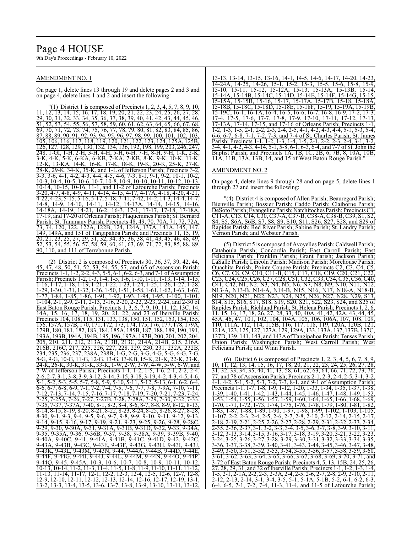# Page 4 HOUSE

9th Day's Proceedings - February 10, 2022

#### AMENDMENT NO. 1

On page 1, delete lines 13 through 19 and delete pages 2 and 3 and on page 4, delete lines 1 and 2 and insert the following:

 $(1)$  District 1 is composed of Precincts 1, 2, 3, 4, 5, 7, 8, 9, 10, 11, 12, 13, 14, 15, 16, 17, 18, 19, 20, 21, 22, 23, 24, 25, 26, 27, 28, 29, 30, 31, 32, 33, 34, 35, 36, 37, 38, 39, 40, 41, 42, 43, 44, 45, 46, 51, 52, 53, 54, 55, 56, 57, 58, 59, 60, 61, 62, 63, 64, 65, 66, 67, 68, 69, 70, 71, 72, 73, 74, 75, 76, 77, 78, 79, 80, 81, 82, 83, 84, 85, 86, 87, 88, 89, 90, 91, 92, 93, 94, 95, 96, 97, 98, 99, 100, 101, 102, 103, 105, 106, 116, 117, 118, 119, 120, 121, 122, 123, 124, 125A, 125B, 126, 127, 128, 129, 130, 132, 134, 136, 192, 198, 199, 203, 246, 247,<br>248, 1-Gl, 1-H, 2-H, 3-H, 4-H, 5-H, 6-H, 7-H, 8-H, 9-H, 1-K, 2-K, 248, 1-GI, 1-H, 2-H, 3-H, 4-H, 5-H, 6-H, 7-H, 8-H, 9-H, 1-K,<br>3-K. 4-K. 5-K. 6-KA. 6-KB, 7-KA, 7-KB, 8-K, 9-K, 10-K, 1 3-K, 4-K, 5-K, 6-KA, 6-KB, 7-KA, 7-KB, 8-K, 9-K, 10-K, 11-K, 12-K, 13-KA, 14-K, 16-K, 17-K, 18-K, 19-K, 20-K, 25-K, 27-K, 28-K, 29-K, 34-K, 35-K, and 1-L of Jefferson Parish; Precincts 3-2, 3-3, 3-6, 4-1, 4-2, 4-3, 4-4, 4-5, 4-6, 7-3, 8-1, 9-1, 9-2, 10-1, 10-2, 10-3, 10-4, 10-5, 10-6, 10-7, 10-8, 10-9, 10-10, 10-11, 10-12, 10-13, 10-14, 10-15, 10-16, 11-1, and 11-2 of Lafourche Parish; Precincts 3-20, 4-7, 4-8, 4-9, 4-11, 4-14, 4-15, 4-17, 4-17A, 4-18, 4-20, 4-21, 4-22, 4-23, 5-15, 5-16, 5-17, 5-18, 7-41, 7-42, 14-2, 14-3, 14-4, 14-7, 14-8, 14-9, 14-10, 14-11, 14-12, 14-13A, 14-14, 14-15, 14-16, 14-18A, 14-19, 14-21, 16-2, 16-3, 17-1, 17-17, 17-18, 17-18A, 17-19, and 17-20 of Orleans Parish; Plaquemines Parish; St. Bernard Parish; St. Tammany Parish; Precincts 48, 49, 70, 70A, 71, 72, 72A, 73, 74, 120, 122, 122A, 122B, 124, 124A, 137A, 141A, 145, 147, 149, 149A, and 151 of Tangipahoa Parish; and Precincts 11, 15, 19, 20, 21, 23, 25, 27, 29, 31, 32, 34, 35, 36, 38, 41, 43, 45, 46, 48, 49, 52, 53, 54, 55, 56, 57, 58, 59, 60, 61, 63, 69, 71, 72, 83, 85, 88, 89, 90, 110, and 111 of Terrebonne Parish.

(2) District 2 is composed of Precincts 30, 36, 37, 39, 42, 44, 45, 47, 48, 50, 51, 52, 53, 54, 55, 57, and 65 of Ascension Parish; Precincts 1-1, 1-2, 2-2, 4-3, 5-5, 6-1, 6-2, 6-3, and 7-1 of Assumption Parish; Precincts 1-2, 1-3, 1-4, 1-5, 1-6, 1-10, 1-11, 1-13, 1-14, 1-15, 1-16, 1-17, 1-18, 1-19, 1-21, 1-22, 1-23, 1-24, 1-25, 1-26, 1-27, 1-28,  $\frac{1}{1-29}$ ,  $\frac{1}{1-30}$ ,  $\frac{1}{1-31}$ ,  $\frac{1}{1-32}$ ,  $\frac{1}{1-36}$ ,  $\frac{1}{1-50}$ ,  $\frac{1}{1-51}$ ,  $\frac{1}{1-58}$ ,  $\frac{1}{1-61}$ ,  $\frac{1}{1-62}$ ,  $\frac{1}{1-63}$ ,  $\frac{1}{1-67}$ , 1-77, 1-84, 1-85, 1-86, 1-91, 1-92, 1-93, 1-94, 1-95, 1-100, 1-101, 1-104, 2-1, 2-9, 2-11, 2-13, 2-16, 2-20, 2-22, 2-23, 2-24, and 2-30 of East Baton Rouge Parish; Precincts 1, 3, 6, 7, 9, 10, 11, 12, 13C, 14, 14A, 15, 16, 17, 18, 19, 20, 21, 22, and 23 of Iberville Parish; Precincts 104, 108, 115, 131, 133, 138, 150, 151, 152, 153, 154, 155, 156, 157A, 157B, 170, 171, 172, 173, 174, 175, 176, 177, 178, 179A, 179B, 180, 181, 182, 183, 184, 185A, 185B, 187, 188, 189, 190, 191, 193A, 193B, 194A, 194B, 195, 196, 197A, 197B, 200, 201, 202, 204, 205, 210, 211, 212, 213A, 213B, 213C, 214A, 214B, 215, 216A, 216B, 216C, 217, 225, 226, 227, 228, 229, 230, 231, 232A, 232B, 234, 235, 236, 237, 238A, 238B, 1-G, 2-G, 3-G, 4-G, 5-G, 6-G, 7-G,<br>234, 235, 236, 237, 238A, 238B, 1-G, 23-G, 3-G, 4-G, 5-G, 6-G, 7-G, 8-G, 9-G, 10-G, 11-G, 12-G, 13-G, 13-KB, 15-K, 21-K, 22-K, 23-K, 24-K, 26-K, 30-K, 31-K, 33-K, 1-W, 2-W, 3-W, 4-W, 5-W, 6-W, and 7-W of Jefferson Parish; Precincts 1-1, 1-2, 1-5, 1-6, 2-1, 2-2, 2-4, 2-6, 2-7, 3-1, 3-8, 3-9, 3-12, 3-14, 3-15, 3-18, 3-19, 4-2, 4-3, 4-5, 4-6, 5-1, 5-2, 5-3, 5-5, 5-7, 5-8, 5-9, 5-10, 5-11, 5-12, 5-13, 6-1, 6-2, 6-4, 6-6, 6-7, 6-8, 6-9, 7-1, 7-2, 7-4, 7-5, 7-6, 7-7, 7-8, 7-9A, 7-10, 7-11, 7-12, 7-13, 7-14, 7-15, 7-16, 7-17, 7-18, 7-19, 7-20, 7-21, 7-23, 7-24, 7-25, 7-25A, 7-26, 7-27, 7-27B, 7-28, 7-28A, 7-29, 7-30, 7-32, 7-33, 7-35, 7-37, 7-37A, 7-40, 8-1, 8-2, 8-4, 8-6, 8-7, 8-8, 8-9, 8-12, 8-13, 8-14, 8-15, 8-19, 8-20, 8-21, 8-22, 8-23, 8-24, 8-25, 8-26, 8-27, 8-28, 8-30, 9-1, 9-3, 9-4, 9-5, 9-6, 9-7, 9-8, 9-9, 9-10, 9-11, 9-12, 9-13, 9-14, 9-15, 9-16, 9-17, 9-19, 9-21, 9-23, 9-25, 9-26, 9-28, 9-28C, 9-29, 9-30, 9-30A, 9-31, 9-31A, 9-31B, 9-31D, 9-32, 9-33, 9-34A, 9-35, 9-35A, 9-36, 9-36B, 9-37, 9-38, 9-38A, 9-39, 9-39B, 9-40, 9-40A, 9-40C, 9-41, 9-41A, 9-41B, 9-41C, 9-41D, 9-42, 9-42C, 9-43A, 9-43B, 9-43C, 9-43E, 9-43F, 9-43G, 9-43H, 9-43I, 9-43J, 9-43K, 9-43L, 9-43M, 9-43N, 9-44, 9-44A, 9-44B, 9-44D, 9-44E, 9-44F, 9-44G, 9-44I, 9-44J, 9-44L, 9-44M, 9-44N, 9-44O, 9-44P, 9-44Q, 9-45, 9-45A, 10-3, 10-6, 10-7, 10-8, 10-9, 10-11, 10-12, 10-13, 10-14, 11-2, 11-3, 11-4, 11-5, 11-8, 11-9, 11-10, 11-11, 11-12, 11-13, 11-14, 11-17, 12-1, 12-2, 12-3, 12-4, 12-5, 12-6, 12-7, 12-8, 12-9, 12-10, 12-11, 12-12, 12-13, 12-14, 12-16, 12-17, 12-19, 13-1, 13-2, 13-3, 13-4, 13-5, 13-6, 13-7, 13-8, 13-9, 13-10, 13-11, 13-12,

13-13, 13-14, 13-15, 13-16, 14-1, 14-5, 14-6, 14-17, 14-20, 14-23, 14-24A, 14-25, 14-26, 15-1, 15-2, 15-3, 15-5, 15-6, 15-8, 15-9, 15-10, 15-11, 15-12, 15-12A, 15-13, 15-13A, 15-13B, 15-14, 15-14A, 15-14B, 15-14C, 15-14D, 15-14E, 15-14F, 15-14G, 15-15, 15-15A, 15-15B, 15-16, 15-17, 15-17A, 15-17B, 15-18, 15-18A, 15-18B, 15-18C, 15-18D, 15-18E, 15-18F, 15-19, 15-19A, 15-19B, 15-19C, 16-1, 16-1A, 16-4, 16-5, 16-6, 16-7, 16-8, 16-9, 17-2, 17-3, 17-4, 17-5, 17-6, 17-7, 17-8, 17-9, 17-10, 17-11, 17-12, 17-13, 17-13A, 17-14, 17-15, and 17-16 of Orleans Parish; Precincts 1-1, 1-2, 1-3, 1-5, 2-1, 2-2, 2-3, 2-4, 2-5, 4-1, 4-2, 4-3, 4-4, 5-1, 5-3, 5-4, 6-6, 6-7, 6-8, 7-1, 7-2, 7-3, and 7-4 of St. Charles Parish; St. James Parish; Precincts 1-1, 1-2, 1-3, 1-4, 1-5, 2-1, 2-2, 2-3, 2-4, 3-1, 3-2, 3-4, 4-1, 4-2, 4-3, 4-14, 5-1, 5-8, 6-1, 6-3, 6-4, and 7-7 of St. John the Baptist Parish; and Precincts 1A, 1B, 1C, 2B, 6, 7B, 8, 10A, 10B, 11A, 11B, 13A, 13B, 14, and 15 of West Baton Rouge Parish."

#### AMENDMENT NO. 2

On page 4, delete lines 9 through 28 and on page 5, delete lines 1 through 27 and insert the following:

(4) District 4 is composed of Allen Parish; Beauregard Parish; Bienville Parish; Bossier Parish; Caddo Parish; Claiborne Parish; DeSoto Parish; Evangeline Parish; Natchitoches Parish; Precincts C1, C11-A, C13, C14, C30, C37-A, C37-B, C38-A, C38-B, C39, S1, S2, S4, S5, S6A, S6B, S7, S8, S9, S10, S11, S26, S27, S28, and S29 of Rapides Parish; Red River Parish; Sabine Parish; St. Landry Parish; Vernon Parish; and Webster Parish.

(5) District 5 is composed of Avoyelles Parish; Caldwell Parish; Catahoula Parish; Concordia Parish; East Carroll Parish; East Feliciana Parish; Franklin Parish; Grant Parish; Jackson Parish; LaSalle Parish; Lincoln Parish; Madison Parish; Morehouse Parish; Ouachita Parish; Pointe Coupee Parish; Precincts C2, C3, C4, C5, C6, C7, C8, C9, C10, C11-B, C15, C17, C18, C19, C20, C21, C22, C23, C24, C25, C26, C27, C28, C31, C32, C33, C34, C35, C36, C40, C41, C42, N1, N2, N3, N4, N5, N6, N7, N8, N9, N10, N11, N12, N13-A, N13-B, N14-A, N14-B, N15, N16, N17, N18-A, N18-B, <u>N19, N20, N21, N22, N23, N24, N25, N26, N27, N28, N29, S13,</u> S14, S15, S16, S17, S18, S19, S20, S21, S22, S23, S24, and S25 of Rapides Parish; Richland Parish; St. Helena Parish; Precincts 1, 2, 6, 11, 15, 16, 17, 18, 26, 27, 28, 33, 40, 40A, 41, 42, 42A, 43, 44, 45, 45A, 46, 47, 101, 102, 104, 104A, 105, 106, 106A, 107, 108, 109, 110, 111A, 112, 114, 115B, 116, 117, 118, 119, 120A, 120B, 121, 121A, 123, 125, 127, 127A, 129, 129A, 133, 133A, 137, 137B, 137C, 137D, 139, 141, 143, and 143A ofTangipahoa Parish; Tensas Parish; Union Parish; Washington Parish; West Carroll Parish; West Feliciana Parish; and Winn Parish.

(6) District 6 is composed of Precincts 1, 2, 3, 4, 5, 6, 7, 8, 9, 10, 11, 12, 13, 14, 15, 16, 17, 18, 20, 21, 22, 23, 24, 25, 26, 27, 28,  $\frac{31}{31}$ ,  $\frac{32}{32}$ ,  $\frac{33}{34}$ ,  $\frac{35}{35}$ ,  $\frac{40}{31}$ ,  $\frac{41}{35}$ ,  $\frac{35}{36}$ ,  $\frac{61}{62}$ ,  $\frac{62}{63}$ ,  $\frac{64}{64}$ ,  $\frac{66}{31}$ ,  $\frac{71}{72}$ ,  $\frac{73}{73}$ ,  $\frac{76}{76}$ 77, and 78 of Ascension Parish; Precincts 2-1, 2-3, 2-4, 2-5, 3-1, 3-2, 4-1, 4-2, 5-1, 5-2, 5-3, 7-2, 7-3, 8-1, and 9-1 of Assumption Parish; Precincts 1-1, 1-7, 1-8, 1-9, 1-12, 1-20, 1-33, 1-34, 1-35, 1-37, 1-38 1-39, 1-40, 1-41, 1-42, 1-43, 1-44, 1-45, 1-46, 1-47, 1-48, 1-49, 1-52, 1-53, 1-54, 1-55, 1-56, 1-57, 1-59, 1-60, 1-64, 1-65, 1-66, 1-68, 1-69, 1-70, 1-71, 1-72, 1-73, 1-74, 1-75, 1-76, 1-78, 1-79, 1-80, 1-81, 1-82, 1-83, 1-87, 1-88, 1-89, 1-90, 1-97, 1-98, 1-99, 1-102, 1-103, 1-105, 1-107, 2-2, 2-3, 2-4, 2-5, 2-6, 2-7, 2-8, 2-10, 2-12, 2-14, 2-15, 2-17, 2-18, 2-19, 2-21, 2-25, 2-26, 2-27, 2-28, 2-29, 2-31, 2-32, 2-33, 2-34, 2-35, 2-36, 2-37, 3-1, 3-2, 3-3, 3-4, 3-5, 3-6, 3-7, 3-8, 3-9, 3-10, 3-11, 3-12, 3-13, 3-14, 3-15, 3-16, 3-17, 3-18, 3-19, 3-20, 3-21, 3-22, 3-23, 3-24, 3-25, 3-26, 3-27, 3-28, 3-29, 3-30, 3-31, 3-32, 3-33, 3-34, 3-35, 3-36, 3-37, 3-38, 3-39, 3-40, 3-41, 3-43, 3-44, 3-45, 3-46, 3-47, 3-48, 3-49, 3-50, 3-51, 3-52, 3-53, 3-54, 3-55, 3-56, 3-57, 3-58, 3-59, 3-60, 3-61, 3-62, 3-63, 3-64, 3-65, 3-66, 3-67, 3-68, 3-69, 3-70, 3-71, and 3-72 of East Baton Rouge Parish; Precincts 4, 5, 13, 15B, 24, 25, 26, 27, 28, 29, 31, and 32 of Iberville Parish; Precincts 1-1, 1-2, 1-3, 1-4, 1-5, 2-1, 2-1A, 2-2, 2-3, 2-3A, 2-4, 2-5, 2-6, 2-7, 2-8, 2-9, 2-10, 2-11, 2-12, 2-13, 2-14, 3-1, 3-4, 3-5, 5-1, 5-1A, 5-1B, 5-2, 6-1, 6-2, 6-3, 6-4, 6-5, 7-1, 7-2, 7-4, 11-3, 11-4, and 11-5 of Lafourche Parish;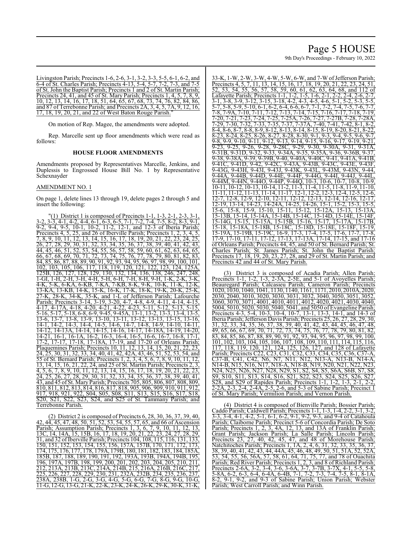# Page 5 HOUSE

9th Day's Proceedings - February 10, 2022

Livingston Parish; Precincts 1-6, 2-6, 3-1, 3-2, 3-3, 5-5, 6-1, 6-2, and 6-4 of St. Charles Parish; Precincts 4-13, 5-4, 5-7, 7-2, 7-3, and 7-5 of St. John the Baptist Parish; Precincts 1 and 2 of St. Martin Parish; Precincts 24, 41, and 45 of St. Mary Parish; Precincts 1, 4, 5, 7, 8, 9, 10, 12, 13, 14, 16, 17, 18, 51, 64, 65, 67, 68, 73, 74, 76, 82, 84, 86, and 87 of Terrebonne Parish; and Precincts 2A, 3, 4, 5, 7A, 9, 12, 16, 17, 18, 19, 20, 21, and 22 of West Baton Rouge Parish.

On motion of Rep. Magee, the amendments were adopted.

Rep. Marcelle sent up floor amendments which were read as follows:

### **HOUSE FLOOR AMENDMENTS**

Amendments proposed by Representatives Marcelle, Jenkins, and Duplessis to Engrossed House Bill No. 1 by Representative Schexnayder

#### AMENDMENT NO. 1

On page 1, delete lines 13 through 19, delete pages 2 through 5 and insert the following:

 $(1)$  District 1 is composed of Precincts 1-1, 1-3, 2-1, 2-3, 3-1 3-2, 3-3, 4-1, 4-2, 4-4, 6-1, 6-3, 6-5, 7-1, 7-2, 7-4, 7-5, 8-2, 8-3, 9-1, 9-2, 9-4, 9-5, 10-1, 10-2, 11-2, 12-1, and 12-3 of Iberia Parish; 9-2, 9-4, 9-5, 10-1, 10-2, 11-2, 12-1, and 12-3 of Iberia Parish; Precincts 4, 5, 25, and 26 of Iberville Parish; Precincts 1, 2, 3, 4, 5, 7, 8, 9, 10, 11, 12, 13, 14, 15, 16, 17, 18, 19, 20, 21, 22, 23, 24, 25, 26, 27, 28, 29, 30, 31, 32, 33, 34, 35, 36, 37, 38, 39, 40, 41, 42, 43, 44, 45, 46, 51, 52, 53, 54, 55, 56, 57, 58, 59, 60, 61, 62, 63, 64, 65, 66, 67, 68, 69, 70, 71, 72, 73, 74, 75, 76, 77, 78, 79, 80, 81, 82, 83, 84, 85, 86, 87, 88, 89, 90, 91, 92, 93, 94, 95, 96, 97, 98, 99, 100, 101, 102, 103, 105, 106, 117, 118, 119, 120, 121, 122, 123, 124, 125A, 125B, 126, 127, 128, 129, 130, 132, 134, 136, 138, 246, 247, 248, 1-GI, 1-H, 2-H, 3-H, 4-H, 5-H, 6-H, 7-H, 8-H, 9-H, 1-K, 2-K, 3-K, <u>5-K, 6-KA, 6-KB, 7-KA, 7-KB, 8-K, 9-K, 10-K, 11-K,</u> 13-KA, 13-KB, 14-K, 15-K, 16-K, 17-K, 18-K, 19-K, 20-K, 25-K, 27-K, 28-K, 34-K, 35-K, and 1-L of Jefferson Parish; Lafourche Parish; Precincts 3-14, 3-19, 3-20, 4-7, 4-8, 4-9, 4-11, 4-14, 4-15, 4-17, 4-17A, 4-18, 4-20, 4-21, 4-22, 4-23, 5-11, 5-12, 5-13, 5-15, 5-16, 5-17, 5-18, 6-8, 6-9, 9-45, 9-45A, 13-1, 13-2, 13-3, 13-4, 13-5, 13-6, 13-7, 13-8, 13-9, 13-10, 13-11, 13-12, 13-13, 13-15, 13-16, 14-1, 14-2, 14-3, 14-4, 14-5, 14-6, 14-7, 14-8, 14-9, 14-10, 14-11, 14-12, 14-13A, 14-14, 14-15, 14-16, 14-17, 14-18A, 14-19, 14-20, 14-21, 16-1, 16-1A, 16-2, 16-3, 16-4, 16-5, 16-6, 16-7, 16-8, 17-1, 17-2, 17-17, 17-18, 17-18A, 17-19, and 17-20 of Orleans Parish; Plaquemines Parish; Precincts 10, 11, 12, 13, 14, 15, 20, 21, 22, 23, 24, 25, 30, 31, 32, 33, 34, 40, 41, 42, 42A, 43, 46, 51, 52, 53, 54, and 55 of St. Bernard Parish; Precincts 1, 2, 3, 4, 5, 6, 7, 8, 9, 10, 11, 12, 13, 14, 15, 16, 21, 22, 24, and 25 of St. Martin Parish; Precincts 2, 3,  $\frac{13}{4, 5, 6, 7, 8, 9, 10, 11, 12, 13, 14, 15, 16, 17, 18, 19, 20, 21, 22, 23,$ 24, 25, 26, 27, 28, 29, 30, 31, 32, 33, 34, 35, 36, 37, 38, 39, 40, 41, 43, and 45 of St. Mary Parish; Precincts 705, 805, 806, 807, 808, 809, 810, 811, 812, 813, 814, 816, 817, 818, 905, 906, 909, 910, 911, 912, 917, 918, 921, 922, S04, S05, S08, S11, S13, S15, S16, S17, S18, S20, S21, S22, S23, S24, and S25 of St. Tammany Parish; and Terrebonne Parish.

(2) District 2 is composed of Precincts 6, 28, 30, 36, 37, 39, 40, 42, 44, 45, 47, 48, 50, 51, 52, 53, 54, 55, 57, 65, and 66 of Ascension Parish; Assumption Parish; Precincts 1, 3, 6, 7, 9, 10, 11, 12, 13, 13C, 14, 14A, 15, 15B, 16, 17, 18, 19, 20, 21, 22, 23, 24, 27, 28, 29, 13C, 14, 14A, 15, 15B, 16, 17, 18, 19, 20, 21, 22, 23, 24, 27, 28, 29, 31, and 32 ofIberville Parish; Precincts 104, 108, 115, 116, 131, 133, 150, 151, 152, 153, 154, 155, 156, 157A, 157B, 170, 171, 172, 173, 174, 175, 176, 177, 178, 179A, 179B, 180, 181, 182, 183, 184, 185A, 185B, 187, 188, 189, 190, 191, 192, 193A, 193B, 194A, 194B, 195, 196, 197A, 197B, 198, 199, 200, 201, 202, 203, 204, 205, 210, 211,<br>212, 213A, 213B, 213C, 214A, 214B, 215, 216A, 216B, 216C, 217, 212, 213A, 213B, 213C, 214A, 214B, 215, 216A, 216B, 216C, 217, 225, 226, 227, 228, 229, 230, 231, 232A, 232B, 234, 235, 236, 237,<br>238A, 238B, 1-G, 2-G, 3-G, 4-G, 5-G, 6-G, 7-G, 8-G, 9-G, 10-G, 238A, 238B, 1-G, 2-G, 3-G, 4-G, 5-G, 6-G, 7-G, 8-G, 9-G, 10-G, 11-G, 12-G, 13-G, 21-K, 22-K, 23-K, 24-K, 26-K, 29-K, 30-K, 31-K,

33-K, 1-W, 2-W, 3-W, 4-W, 5-W, 6-W, and 7-W ofJefferson Parish; Precincts 4, 5, 7, 11, 13, 14, 15, 16, 17, 18, 19, 20, 21, 22, 23, 24, 51 52, 53, 54, 55, 56, 57, 58, 59, 60, 61, 62, 63, 64, 68, and 112 of Lafayette Parish; Precincts 1-1, 1-2, 1-5, 1-6, 2-1, 2-2, 2-4, 2-6, 2-7, 3-1, 3-8, 3-9, 3-12, 3-15, 3-18, 4-2, 4-3, 4-5, 4-6, 5-1, 5-2, 5-3, 5-5, 5-7, 5-8, 5-9, 5-10, 6-1, 6-2, 6-4, 6-6, 6-7, 7-1, 7-2, 7-4, 7-5, 7-6, 7-7, 7-8, 7-9A, 7-10, 7-11, 7-12, 7-13, 7-14, 7-15, 7-16, 7-17, 7-18, 7-19, 7-20, 7-21, 7-23, 7-24, 7-25, 7-25A, 7-26, 7-27, 7-27B, 7-28, 7-28A, 7-29, 7-30, 7-32, 7-33, 7-35, 7-37, 7-37A, 7-40, 7-41, 7-42, 8-1, 8-2, 8-4, 8-6, 8-7, 8-8, 8-9, 8-12, 8-13, 8-14, 8-15, 8-19, 8-20, 8-21, 8-22, 8-23, 8-24, 8-25, 8-26, 8-27, 8-28, 8-30, 9-1, 9-3, 9-4, 9-5, 9-6, 9-7, 9-8, 9-9, 9-10, 9-11, 9-12, 9-13, 9-14, 9-15, 9-16, 9-17, 9-19, 9-21,  $9-23, 9-25, 9-26, 9-28, 9-28C, 9-29, 9-30, 9-30A, 9-31, 9-31A,$ 9-31B, 9-31D, 9-32, 9-33, 9-34A, 9-35, 9-35A, 9-36, 9-36B, 9-37, 9-38, 9-38A, 9-39, 9-39B, 9-40, 9-40A, 9-40C, 9-41, 9-41A, 9-41B, 9-41C, 9-41D, 9-42, 9-42C, 9-43A, 9-43B, 9-43C, 9-43E, 9-43F, 9-43G, 9-43H, 9-43I, 9-43J, 9-43K, 9-43L, 9-43M, 9-43N, 9-44, 9-44A, 9-44B, 9-44D, 9-44E, 9-44F, 9-44G, 9-44I, 9-44J, 9-44L, 9-44M, 9-44N, 9-44O, 9-44P, 9-44Q, 10-3, 10-6, 10-7, 10-8, 10-9, 10-11, 10-12, 10-13, 10-14, 11-2, 11-3, 11-4, 11-5, 11-8, 11-9, 11-10, 11-11, 11-12, 11-13, 11-14, 11-17, 12-1, 12-2, 12-3, 12-4, 12-5, 12-6, 12-7, 12-8, 12-9, 12-10, 12-11, 12-12, 12-13, 12-14, 12-16, 12-17, 12-19, 13-14, 14-23, 14-24A, 14-25, 14-26, 15-1, 15-2, 15-3, 15-5, 15-6, 15-8, 15-9, 15-10, 15-11, 15-12, 15-12A, 15-13, 15-13A, 15-13B, 15-14, 15-14A, 15-14B, 15-14C, 15-14D, 15-14E, 15-14F, 15-14G, 15-15, 15-15A, 15-15B, 15-16, 15-17, 15-17A, 15-17B, 15-18, 15-18A, 15-18B, 15-18C, 15-18D, 15-18E, 15-18F, 15-19, 15-19A, 15-19B, 15-19C, 16-9, 17-3, 17-4, 17-5, 17-6, 17-7, 17-8, 17-9, 17-10, 17-11, 17-12, 17-13, 17-13A, 17-14, 17-15, and 17-16 of Orleans Parish; Precincts 44, 45, and 50 of St. Bernard Parish; St. Charles Parish; St. James Parish; St. John the Baptist Parish; Precincts 17, 18, 19, 20, 23, 27, 28, and 29 of St. Martin Parish; and Precincts 42 and 44 of St. Mary Parish.

(3) District 3 is composed of Acadia Parish; Allen Parish; Precincts 1-1, 1-2, 1-3, 2-3A, 2-5E, and 5-1 of Avoyelles Parish; Beauregard Parish; Calcasieu Parish; Cameron Parish; Precincts 1020, 1030, 1040, 1041, 1130, 1140, 1161, 1171, 2010, 2010A, 2020, 2030, 2040, 3010, 3020, 3030, 3031, 3032, 3040, 3050, 3051, 3052, 3060, 3070, 3071, 4001, 4010, 4011, 4012, 4020, 4021, 4030, 4040, 5004, 5010, 5020, 5030, 5040, 5041, and 5050 of Evangeline Parish; Precincts 4-3, 5-4, 10-3, 10-4, 10-7, 13-1, 13-3, 14-1, and 14-3 of Iberia Parish; Jefferson Davis Parish; Precincts 25, 26, 27, 28, 29, 30, 31, 32, 33, 34, 35, 36, 37, 38, 39, 40, 41, 42, 43, 44, 45, 46, 47, 48, 49, 65, 66, 67, 69, 70, 71, 72, 73, 74, 75, 76, 77, 78, 79, 80, 81, 82, 83, 84, 85, 86, 87, 88, 89, 90, 91, 92, 93, 94, 95, 96, 97, 98, 99, 100, 101, 102, 103, 104, 105, 106, 107, 108, 109, 110, 111, 114, 115, 116, 117, 118, 119, 120, 121, 124, 125, 126, 127, and 128 of Lafayette Parish; Precincts C22, C23, C31, C32, C33, C34, C35, C36, C37-A, C37-B, C41, C42, N6, N7, N11, N12, N13-A, N13-B, N14-A, N14-B, N15, N16, N17, N18-A, N18-B, N19, N20, N21, N22, N23, N14-B, N19, N10, N11, N10, N29, S1, N2, N2, N2, N2, N2, N25, N26, N27, N28, N29, S1, S2, S4, S5, S6A, S6B, S7, S8,<br>S9, S10, S11, S13, S14, S16, S21, S22, S23, S24, S25, S26, S27, S9, S10, S11, S13, S14, S16, S21, S22, S23, S24, S25, S26, S27, S28, and S29 of Rapides Parish; Precincts 1-1, 1-2, 1-3, 2-1, 2-2 2-2A, 2-3, 2-4, 2-4A, 2-5, 2-6, and 5-3 of Sabine Parish; Precinct 1 of St. Mary Parish; Vermilion Parish; and Vernon Parish.

(4) District 4 is composed of Bienville Parish; Bossier Parish; Caddo Parish; Caldwell Parish; Precincts 1-1, 1-3, 1-4, 2-2, 3-1, 3-2, 3-3, 3-4, 4-1, 4-2, 5-1, 6-1, 6-2, 9-1, 9-2, 9-3, and 9-4 of Catahoula Parish; Claiborne Parish; Precinct 5-6 of Concordia Parish; De Soto Parish; Precincts 1, 2, 3, 4A, 12, 13, and 13A of Franklin Parish; Grant Parish; Jackson Parish; La Salle Parish; Lincoln Parish; Precincts 23, 27, 40, 42, 45, 47, and 48 of Morehouse Parish; Natchitoches Parish; Precincts 1, 1A, 2, 4, 6, 31, 32, 33, 35, 36, 37, 38, 39, 40, 41, 42, 43, 44, 44A, 45, 46, 48, 49, 50, 51, 51A, 52, 52A, 53, 54, 55, 56, 56A, 57, 58, 61, 64, 71, 75, 77, and 78 of Ouachita Parish; Red River Parish; Precincts 1, 2, 3, and 8 of Richland Parish; Precincts 2-6A, 3-2, 3-4, 3-6, 3-6A, 3-7, 3-7B, 3-7X, 4-1, 5-5, 5-8, 5-8A, 6-2, 6-3, 6-4, 6-4A, 6-4B, 7-1, 7-2, 7-3, 7-4, 7-5, 8-1, 8-1A, 8-2, 9-1, 9-2, and 9-3 of Sabine Parish; Union Parish; Webster Parish; West Carroll Parish; and Winn Parish.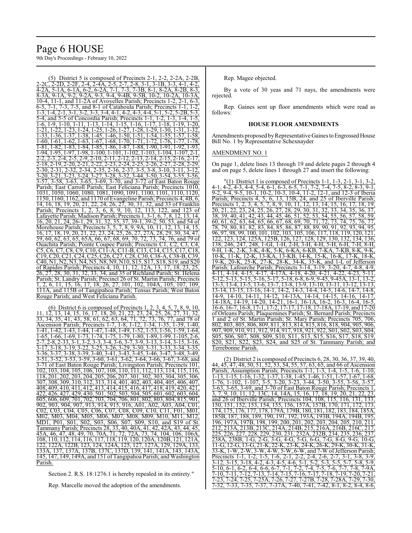# Page 6 HOUSE 9th Day's Proceedings - February 10, 2022

District 5 is composed of Precincts 2-1. 2-2C, 2-2D, 2-2F, 2-4, 2-4A, 2-5, 2-7, 2-8, 3-1, 3-1B, 3-3, 4-1, 4-2, 4-2A, 5-1A, 6-1A, 6-2, 6-2A, 7-1, 7-3, 7-3B, 8-1, 8-2A, 8-2B, 8-3, 8-3A, 9-1A, 9-2, 9-2A, 9-3, 9-4, 9-4B, 9-5B, 10-2, 10-2A, 10-3A, 10-4, 11-1, and 11-2A of Avoyelles Parish; Precincts 1-2, 2-1, 6-3, 6-5, 7-1, 7-3, 7-5, and 8-1 of Catahoula Parish; Precincts 1-1, 1-2,  $1-3, 1-4, 2-1, 3-1, 3-2, 3-3, 3-4, 4-1, 4-2, 4-3, 4-4, 5-1,$ 5-4, and 5-5 of Concordia Parish; Precincts 1-1, 1-2, 1-3, 1-4, 1-5, 1-6, 1-9, 1-10, 1-11, 1-13, 1-14, 1-15, 1-16, 1-17, 1-18, 1-19, 1-20,  $\frac{1}{1-21}$ ,  $\frac{1}{22}$ ,  $\frac{1}{1-23}$ ,  $\frac{1}{1-24}$ ,  $\frac{1}{1-25}$ ,  $\frac{1}{1-26}$ ,  $\frac{1}{1-27}$ ,  $\frac{1}{1-28}$ ,  $\frac{1}{1-29}$ ,  $\frac{1}{1-31}$ ,  $\frac{1}{1-32}$ 1-33, 1-36, 1-37, 1-38, 1-45, 1-46, 1-50, 1-51, 1-54, 1-55, 1-57, 1-58, 1-60, 1-61, 1-62, 1-63, 1-67, 1-68, 1-70, 1-71, 1-72, 1-76, 1-77, 1-78, 1-81, 1-82, 1-83, 1-84, 1-85, 1-86, 1-87, 1-88, 1-90, 1-91, 1-92, 1-93, 1-94, 1-95, 1-97, 1-98, 1-100, 1-101, 1-102, 1-103, 1-104, 1-107, 2-2, 2-3, 2-4, 2-5, 2-9, 2-10, 2-11, 2-12, 2-13, 2-14, 2-15, 2-16, 2-17, <del>2 - 18, 2 - 19, 2 - 20, 2 - 21, 2 - 22, 2 - 23, 2 - 24, 2 - 25, 2 - 26, 2 - 27, 2 - 28,<br>2 - 30, 2 - 31, 2 - 32, 2 - 34, 2 - 35, 2 - 36, 2 - 37, 3 - 5, 3 - 8, 3 - 10, 3 - 11,<br>2 - 30, 2 - 31, 2 - 32, 2 - 34, 2 - 35, 2 - 36,</del>  $\frac{2}{2-34}$ ,  $\frac{2}{35}$ ,  $\frac{2}{36}$ ,  $\frac{2}{3-37}$ ,  $\frac{3}{3-5}$ ,  $\frac{3}{3-8}$ ,  $\frac{3}{3-10}$ ,  $\frac{3}{3-11}$ ,  $\frac{3}{3-12}$ , 3-20, 3-21, 3-23, 3-24, 3-27, 3-28, 3-32, 3-44, 3-50, 3-54, 3-55, 3-56,<br>3-57, 3-58, 3-63, 3-65, 3-69, 3-70, and 3-72 of East Baton Rouge 3-58, 3-63, 3-65, 3-69, 3-70, and 3-72 of East Baton Rouge Parish; East Carroll Parish; East Feliciana Parish; Precincts 1010, 1031, 1050, 1060, 1080, 1081, 1090, 1091, 1100, 1101, 1110, 1120, 1150, 1160, 1162, and 1170 ofEvangeline Parish; Precincts 4, 4B, 6, 14, 16, 18, 19, 20, 21, 22, 24, 26, 27, 30, 31, 32, and 33 of Franklin Parish; Precincts 1, 2, 3, 6, 8, 9, 10, 12, 113, 122, and 123 of Lafayette Parish; Madison Parish; Precincts 1, 3-1, 6, 7, 8, 12, 13, 14, 16, 20, 21, 24, 26-1, 29, 31, 32, 35, 37, 39-1, 39-2, 50, 53, and 54 of Morehouse Parish; Precincts 3, 5, 7, 8, 9, 9A, 10, 11, 12, 13, 14, 15, 16, 17, 18, 19, 20, 21, 22, 23, 24, 25, 26, 27, 27A, 28, 29, 30, 34, 47, 59, 60, 62, 63, 65, 65A, 66, 67, 68, 69, 70, 72, 73, 74, 76, and 79 of Ouachita Parish; Pointe Coupee Parish; Precincts C1, C2, C3, C4, C5, C6, C7, C8, C9, C10, C11-A, C11-B, C13, C14, C15, C17, C18, C19, C20, C21, C24, C25, C26, C27, C28, C30, C38-A, C38-B, C39, C40, N1, N2, N3, N4, N5, N8, N9, N10, S15, S17, S18, S19, and S20 of Rapides Parish; Precincts 4, 10, 11, 12, 12A, 13, 17, 18, 23, 25, 26, 27, 28, 30, 31, 32, 33, 34, and 35 of Richland Parish; St. Helena Parish; St. Landry Parish; Precinct 26 of St. Martin Parish; Precincts 1, 2, 6, 11, 15, 16, 17, 18, 26, 27, 101, 102, 104A, 105, 107, 109, 111A, and 115B of Tangipahoa Parish; Tensas Parish; West Baton Rouge Parish; and West Feliciana Parish.

(6) District 6 is composed of Precincts 1, 2, 3, 4, 5, 7, 8, 9, 10, 11, 12, 13, 14, 15, 16, 17, 18, 20, 21, 22, 23, 24, 25, 26, 27, 31, 32, 33, 34, 35, 41, 43, 58, 61, 62, 63, 64, 71, 72, 73, 76, 77, and 78 of Ascension Parish; Precincts 1-7, 1-8, 1-12, 1-34, 1-35, 1-39, 1-40, 1-41, 1-42, 1-43, 1-44, 1-47, 1-48, 1-49, 1-52, 1-53, 1-56, 1-59, 1-64, 1-65, 1-66, 1-69, 1-73, 1-74, 1-75, 1-79, 1-80, 1-89, 1-99, 1-105, 2-6, 2-7, 2-8, 2-33, 3-1, 3-2, 3-3, 3-4, 3-6, 3-7, 3-9, 3-13, 3-14, 3-15, 3-16, 3-17, 3-18, 3-19, 3-22, 3-25, 3-26, 3-29, 3-30, 3-31, 3-33, 3-34, 3-35, 3-36, 3-37, 3-38, 3-39, 3-40, 3-41, 3-43, 3-45, 3-46, 3-47, 3-48, 3-49, 3-51, 3-52, 3-53, 3-59, 3-60, 3-61, 3-62, 3-54, 3-68, and 3-51, 3-52, 3-53, 3-59, 3-60, 3-61, 3-62, 3-64, 3-66, 3-67, 3-68, and 3-71 of East Baton Rouge Parish; Livingston Parish; Precincts 101, 102, 103, 104, 105, 106, 107, 108, 110, 111, 112, 113, 114, 115, 116, 118, 201, 202, 203, 204, 205, 206, 207, 301, 302, 303, 304, 305, 306, 307, 308, 309, 310, 312, 313, 314, 401, 402, 403, 404, 405, 406, 407, 408, 409, 410, 411, 412, 413, 414, 415, 416, 417, 418, 419, 420, 421, 422, 426, 427, 429, 430, 501, 502, 503, 504, 505, 601, 602, 603, 604, 605, 606, 609, 701, 702, 703, 704, 706, 801, 802, 803, 804, 815, 901, 902, 903, 904, 907, 913, 914, 915, 916, A01, A02, A03, A04, C01, C02, C03, C04, C05, C06, C07, C08, C09, C10, C11, F01, M01, M02, M03, M04, M05, M06, M07, M08, M09, M10, M11, M12, , S01, S02, S03, S06, S07, S09, S10, and S19 of St. Tammany Parish; Precincts 28, 33, 40, 40A, 41, 42, 42A, 43, 44, 45, 45A, 46, 47, 48, 49, 70, 70A, 71, 72, 72A, 73, 74, 104, 106, 106A, 108, 110, 112, 114, 116, 117, 118, 119, 120, 120A, 120B, 121, 121A, 122, 122A, 122B, 123, 124, 124A, 125, 127, 127A, 129, 129A, 133, 133A, 137, 137A, 137B, 137C, 137D, 139, 141, 141A, 143, 143A, 145, 147, 149, 149A, and 151 ofTangipahoa Parish; and Washington Parish.

Section 2. R.S. 18:1276.1 is hereby repealed in its entirety."

Rep. Marcelle moved the adoption of the amendments.

Rep. Magee objected.

By a vote of 30 yeas and 71 nays, the amendments were rejected.

Rep. Gaines sent up floor amendments which were read as follows:

#### **HOUSE FLOOR AMENDMENTS**

Amendments proposed by Representative Gaines to Engrossed House Bill No. 1 by Representative Schexnayder

#### AMENDMENT NO. 1

On page 1, delete lines 13 through 19 and delete pages 2 through 4 and on page 5, delete lines 1 through 27 and insert the following:

"(1) District 1 is composed of Precincts 1-1, 1-3, 2-1, 3-1, 3-2, 4-1, 4-2, 4-3, 4-4, 5-4, 6-1, 6-3, 6-5, 7-1, 7-2, 7-4, 7-5, 8-2, 8-3, 9-1,  $9-2$ ,  $9-4$ ,  $9-5$ ,  $10-1$ ,  $10-2$ ,  $10-3$ ,  $10-4$ ,  $11-2$ ,  $12-1$ , and  $12-3$  of Iberia<br>Parish; Precincts 4, 5, 6, 13, 15B, 24, and 25 of Iberville Parish; 13, 15B, 24, and 25 of Iberville Parish Precincts 1, 2, 3, 4, 5, 7, 8, 9, 10, 11, 12, 13, 14, 15, 16, 17, 18, 19, 20, 21, 22, 23, 24, 25, 26, 27, 28, 29, 30, 31, 32, 33, 34, 35, 36, 37,<br>38, 39, 40, 41, 42, 43, 44, 45, 46, 51, 52, 53, 54, 55, 56, 57, 58, 59 38, 39, 40, 41, 42, 43, 44, 45, 46, 51, 52, 53, 54, 55, 56, 57, 58, 59, 60, 61, 62, 63, 64, 65, 66, 67, 68, 69, 70, 71, 72, 73, 74, 75, 76, 77, 78, 79, 80, 81, 82, 83, 84, 85, 86, 87, 88, 89, 90, 91, 92, 93, 94, 95, 96, 97, 98, 99, 100, 101, 102, 103, 105, 106, 117, 118, 119, 120, 121, 122, 123, 124, 125A, 125B, 126, 127, 128, 129, 130, 132, 134, 136<br>138, 246, 247, 248, 1-GI, 1-H, 2-H, 3-H, 4-H, 5-H, 6-H, 7-H, 8-H 138, 246, 247, 248, 1-GI, 1-H, 2-H, 3-H, 4-H, 5-H, 6-H, 7-H, 8-H, 9-H, 1-K, 2-K, 3-K, 4-K, 5-K, 6-KA, 6-KB, 7-KA, 7-KB, 8-K, 9-K, 10-K, 11-K, 12-K, 13-KA, 13-KB, 14-K, 15-K, 16-K, 17-K, 18-K, 19-K, 20-K, 25-K, 27-K, 28-K, 34-K, 35-K, and 1-L of Jefferson 19-K, 20-K, 25-K, 27-K, 28-K, 34-K, 35-K, and 1-L of Jefferson<br>Parish; Lafourche Parish; Precincts 3-14, 3-19, 3-20, 4-7, 4-8, 4-9,<br>4-11, 4-14, 4-15, 4-17, 4-17A, 4-18, 4-20, 4-21, 4-22, 4-23, 5-11, 4-11, 4-14, 4-15, 4-17, 4-17A, 4-18, 4-20, 4-21, 4-22, 4-23, 5-12, 5-13, 5-15, 5-16, 5-17, 5-18, 6-8, 6-9, 9-45, 9-45A, 13-1, 13-2, 13-3, 13-4, 13-5, 13-6, 13-7, 13-8, 13-9, 13-10, 13-11, 13-12, 13-13, 13-14, 13-15, 13-16, 14-1, 14-2, 14-3, 14-4, 14-5, 14-6, 14-7, 14-8, 14-9, 14-10, 14-11, 14-12, 14-13A, 14-14, 14-15, 14-16, 14-17, 14-18A, 14-19, 14-20, 14-21, 16-1, 16-1A, 16-2, 16-3, 16-4, 16-5, 16-6, 16-7, 16-8, 17-1, 17-2, 17-17, 17-18, 17-18A, 17-19, and 17-20 of Orleans Parish; Plaquemines Parish; St. Bernard Parish; Precincts 1 and 2 of St. Martin Parish; St. Mary Parish; Precincts 705, 706, 802, 803, 805, 806, 809, 811, 813, 814, 815, 816, 818, 904, 905, 906, 907, 909, 910, 911, 912, 914, 917, 918, 921, 922, S01, S02, S03, S04, S05, S06, S07, S08, S09, S10, S11, S13, S15, S16, S17, S18, S19, S20, S21, S22, S23, S24, and S25 of St. Tammany Parish; and Terrebonne Parish.

(2) District 2 is composed of Precincts 6, 28, 30, 36, 37, 39, 40, 44, 45, 47, 48, 50, 51, 52, 53, 54, 55, 57, 63, 65, and 66 of Ascension Parish; Assumption Parish; Precincts 1-1, 1-3, 1-4, 1-5, 1-6, 1-10, 1-13, 1-15, 1-16, 1-32, 1-37, 1-38, 1-45, 1-46, 1-51, 1-57, 1-67, 1-68, 1-76, 1-102, 1-107, 3-5, 3-20, 3-23, 3-44, 3-50, 3-55, 3-56, 3-57, 3-63, 3-65, 3-69, and 3-70 of East Baton Rouge Parish; Precincts 1, 3, 7, 9, 10, 11, 12, 13C, 14, 14A, 15, 16, 17, 18, 19, 20, 21, 22, 23, and 26 of Iberville Parish; Precincts 104, 108, 115, 116, 131 150, 151, 152, 153, 154, 155, 156, 157A, 157B, 170, 171, 172, 173, 174, 175, 176, 177, 178, 179A, 179B, 180, 181, 182, 183, 184, 185A, 185B, 187, 188, 189, 190, 191, 192, 193A, 193B, 194A, 194B, 195, 196, 197A, 197B, 198, 199, 200, 201, 202, 203, 204, 205, 210. 212, 213A, 213B, 213C, 214A, 214B, 215, 216A, 216B, 216C, 217, 225, 226, 227, 228, 229, 230, 231, 232A, 232B, 234, 235, 236, 237, 238A, 238B, 1-G, 2-G, 3-G, 4-G, 5-G, 6-G, 7-G, 8-G, 9-G, 10-G, 11-G, 12-G, 13-G, 21-K, 22-K, 23-K, 24-K, 26-K, 29-K, 30-K, 31-K, 33-K, 1-W, 2-W, 3-W, 4-W, 5-W, 6-W, and 7-W ofJefferson Parish; Precincts 1-1, 1-2, 1-5, 1-6, 2-1, 2-2, 2-4, 2-6, 2-7, 3-1, 3-8, 3-9, 3-12, 3-15, 3-18, 4-2, 4-3, 4-5, 4-6, 5-1, 5-2, 5-3, 5-5, 5-7, 5-8, 5-9, 3-12, 3-15, 3-18, 4-2, 4-3, 4-5, 4-6, 5-1, 5-2, 5-10, 6-1, 6-2, 6-4, 6-6, 6-7, 7-1, 7-2, 7-4, 7-5, 7-6, 7-7, 7-8, 7-9A, 7-10, 7-11, 7-12, 7-13, 7-14, 7-15, 7-16, 7-17, 7-18, 7-19, 7-20, 7-21, 7-23, 7-24, 7-25, 7-25A, 7-26, 7-27, 7-27B, 7-28, 7-28A, 7-29, 7-30, 7-32, 7-33, 7-35, 7-37, 7-37A, 7-40, 7-41, 7-42, 8-1, 8-2, 8-4, 8-6,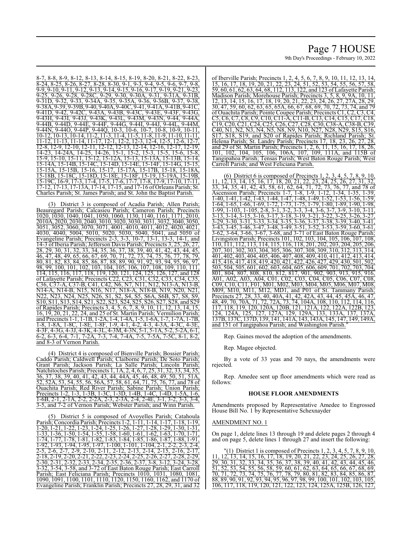# Page 7 HOUSE 9th Day's Proceedings - February 10, 2022

8-7, 8-8, 8-9, 8-12, 8-13, 8-14, 8-15, 8-19, 8-20, 8-21, 8-22, 8-23,  $\frac{8}{6}$ ,  $\frac{8}{24}$ ,  $\frac{8}{25}$ ,  $\frac{22}{6}$ ,  $\frac{8}{27}$ ,  $\frac{8}{28}$ ,  $\frac{23}{6}$ ,  $\frac{3}{20}$ ,  $\frac{9}{21}$ ,  $\frac{9}{23}$ ,  $\frac{9}{24}$ ,  $\frac{9}{25}$ ,  $\frac{9}{26}$ ,  $\frac{9}{7}$ ,  $\frac{9}{8}$ , 9-9, 9-10, 9-11, 9-12, 9-13, 9-14, 9-15, 9-16, 9-17, 9-19, 9-21, 9-23, 9-25, 9-26, 9-28, 9-28C, 9-29, 9-30, 9-30A, 9-31, 9-31A, 9-31B, 9-31D, 9-32, 9-33, 9-34A, 9-35, 9-35A, 9-36, 9-36B, 9-37, 9-38, 9-38A, 9-39, 9-39B, 9-40, 9-40A, 9-40C, 9-41, 9-41A, 9-41B, 9-41C, 9-41D, 9-42, 9-42C, 9-43A, 9-43B, 9-43C, 9-43E, 9-43F, 9-43G, 9-43H, 9-43I, 9-43J, 9-43K, 9-43L, 9-43M, 9-43N, 9-44, 9-44A, 9-44B, 9-44D, 9-44E, 9-44F, 9-44G, 9-44I, 9-44J, 9-44L, 9-44M, 9-44N, 9-44O, 9-44P, 9-44Q, 10-3, 10-6, 10-7, 10-8, 10-9, 10-11, 10-12, 10-13, 10-14, 11-2, 11-3, 11-4, 11-5, 11-8, 11-9, 11-10, 11-11, 11-12, 11-13, 11-14, 11-17, 12-1, 12-2, 12-3, 12-4, 12-5, 12-6, 12-7, 12-8, 12-9, 12-10, 12-11, 12-12, 12-13, 12-14, 12-16, 12-17, 12-19, 14-23, 14-24A, 14-25, 14-26, 15-1, 15-2, 15-3, 15-5, 15-6, 15-8, 15-9, 15-10, 15-11, 15-12, 15-12A, 15-13, 15-13A, 15-13B, 15-14, 15-14A, 15-14B, 15-14C, 15-14D, 15-14E, 15-14F, 15-14G, 15-15, 15-15A, 15-15B, 15-16, 15-17, 15-18B, 15-18C, 15-18D, 15-18E, 15-18F, 15-19, 15-19A, 15-19B, 15-19C, 16-9, 17-3, 17-4, 17-5, 17-6, 17-7, 17-8, 17-9, 17-10, 17-11, 17-12, 17-13, 17-13A, 17-14, 17-15, and 17-16 of Orleans Parish; St. Charles Parish; St. James Parish; and St. John the Baptist Parish.

(3) District 3 is composed of Acadia Parish; Allen Parish; Beauregard Parish; Calcasieu Parish; Cameron Parish; Precincts 1020, 1030, 1040, 1041, 1050, 1060, 1130, 1140, 1161, 1171, 2010, 2010A, 2020, 2030, 2040, 3010, 3020, 3030, 3031, 3032, 3040, 3050, 3051, 3052, 3060, 3070, 3071, 4001, 4010, 4011, 4012, 4020, 4021, 4030, 4040, 5004, 5010, 5020, 5030, 5040, 5041, and 5050 of Evangeline Parish; Precincts 2-3, 3-3, 10-7, 13-1, 13-3, 14-1, and 14-3 of Iberia Parish; Jefferson Davis Parish; Precincts 3, 25, 26, 27, 28, 29, 30, 31, 32, 33, 34, 35, 36, 37, 38, 39, 40, 41, 42, 43, 44, 45, 46, 47, 48, 49, 65, 66, 67, 69, 70, 71, 72, 73, 74, 75, 76, 77, 78, 79, 80, 81, 82, 83, 84, 85, 86, 87, 88, 89, 90, 91, 92, 93, 94, 95, 96, 97, 98, 99, 100, 101, 102, 103, 104, 105, 106, 107, 108, 109, 110, 111, 114, 115, 116, 117, 118, 119, 120, 121, 124, 125, 126, 127, and 128 of Lafayette Parish; Precincts C22, C23, C31, C32, C33, C34, C35, C36, C37-A, C37-B, C41, C42, N6, N7, N11, N12, N13-A, N13-B, N14-A, N14-B, N15, N16, N17, N18-A, N18-B, N19, N20, N21, N22, N23, N24, N25, N26, S1, S2, S4, S5, S6A, S6B, S7, S8, S9, S10, S11, S13, S14, S21, S22, S23, S24, S25, S26, S27, S28, and S29 of Rapides Parish; Precincts 3, 4, 5, 6, 7, 8, 9, 10, 11, 12, 13, 14, 15, 16, 19, 20, 21, 22, 24, and 25 of St. Martin Parish; Vermilion Parish; and Precincts 1-1, 1-1B, 1-2A, 1-4, 1-4A, 1-5, 1-6A, 1-7, 1-7A, 1-7B, 1-8, 1-8A, 1-8C, 1-8E, 1-8F, 1-9, 4-1, 4-2, 4-3, 4-3A, 4-3C, 4-3E, 4-3F, 4-3G, 4-3J, 4-3K, 4-3L, 4-3M, 4-3N, 5-1, 5-1A, 5-2, 5-2A, 6-1, 6-2, 6-3, 6-4, 7-1, 7-2A, 7-3, 7-4, 7-4A, 7-5, 7-5A, 7-5C, 8-1, 8-2, and 8-3 of Vernon Parish.

(4) District 4 is composed of Bienville Parish; Bossier Parish; Caddo Parish; Caldwell Parish; Claiborne Parish; De Soto Parish; Grant Parish; Jackson Parish; La Salle Parish; Lincoln Parish; Natchitoches Parish; Precincts 1, 1A, 2, 4, 6, 7, 25, 31, 32, 33, 34, 35, 36, 37, 38, 39, 40, 41, 42, 43, 44, 44A, 45, 46, 48, 49, 50, 51, 51A, 52, 52A, 53, 54, 55, 56, 56A, 57, 58, 61, 64, 71, 75, 76, 77, and 78 of Ouachita Parish; Red River Parish; Sabine Parish; Union Parish; Precincts 1-2, 1-3, 1-3B, 1-3C, 1-3D, 1-4B, 1-4C, 1-4D, 1-5A, 1-6, 1-6B, 2-1, 2-1A, 2-2, 2-2A, 2-3, 2-3A, 2-4, 2-4E, 3-1, 3-2, 3-3, 3-4, 3-5, and 7-2 of Vernon Parish; Webster Parish; and Winn Parish.

(5) District 5 is composed of Avoyelles Parish; Catahoula Parish; Concordia Parish; Precincts 1-2, 1-11, 1-14, 1-17, 1-18, 1-19, 1-20, 1-21, 1-22, 1-23, 1-24, 1-25, 1-26, 1-27, 1-28, 1-29, 1-30, 1-31, 1-33, 1-36, 1-50, 1-54, 1-55, 1-58, 1-60, 1-61, 1-62, 1-63, 1-70, 1-71, 1-74, 1-77, 1-78, 1-81, 1-82, 1-83, 1-84, 1-85, 1-86, 1-87, 1-88, 1-91, 1-92, 1-93, 1-94, 1-95, 1-97, 1-100, 1-101, 1-104, 2-1, 2-2, 2-3, 2-4, 2-5, 2-6, 2-7, 2-9, 2-10, 2-11, 2-12, 2-13, 2-14, 2-15, 2-16, 2-17, 2-18, 2-19, 2-20, 2-21, 2-22, 2-23, 2-24, 2-25, 2-26, 2-27, 2-28, 2-29, 2-30, 2-31, 2-32, 2-33, 2-34, 2-35, 2-36, 2-37, 3-8, 3-12, 3-24, 3-28, 3-32, 3-54, 3-58, and 3-72 of East Baton Rouge Parish; East Carroll Parish; East Feliciana Parish; Precincts 1010, 1031, 1080, 1081, 1090, 1091, 1100, 1101, 1110, 1120, 1150, 1160, 1162, and 1170 of Evangeline Parish; Franklin Parish; Precincts 27, 28, 29, 31, and 32

of Iberville Parish; Precincts 1, 2, 4, 5, 6, 7, 8, 9, 10, 11, 12, 13, 14, 15, 16, 17, 18, 19, 20, 21, 22, 23, 24, 51, 52, 53, 54, 55, 56, 57, 58, 59, 60, 61, 62, 63, 64, 68, 112, 113, 122, and 123 of Lafayette Parish; Madison Parish; Morehouse Parish; Precincts 3, 5, 8, 9, 9A, 10, 11, 12, 13, 14, 15, 16, 17, 18, 19, 20, 21, 22, 23, 24, 26, 27, 27A, 28, 29, 30, 47, 59, 60, 62, 63, 65, 65A, 66, 67, 68, 69, 70, 72, 73, 74, and 79 of Ouachita Parish; Pointe Coupee Parish; Precincts C1, C2, C3, C4, C5, C6, C7, C8, C9, C10, C11-A, C11-B, C13, C14, C15, C17, C18, C19, C20, C21, C24, C25, C26, C27, C28, C30, C38-A, C38-B, C39, C40, N1, N2, N3, N4, N5, N8, N9, N10, N27, N28, N29, S15, S16, S17, S18, S19, and S20 of Rapides Parish; Richland Parish; St.<br>Helena Parish; St. Landry Parish; Precincts 17, 18, 23, 26, 27, 28, Helena Parish; St. Landry Parish; Precincts 17, 18, 23, 26, 27, and 29 of St. Martin Parish; Precincts 1, 2, 6, 11, 15, 16, 17, 18, 26, 101, 102, 104, 105, 106, 106A, 107, 109, 111A, and 115B of Tangipahoa Parish; Tensas Parish; West Baton Rouge Parish; West Carroll Parish; and West Feliciana Parish.

(6) District 6 is composed of Precincts 1, 2, 3, 4, 5, 7, 8, 9, 10, 11, 12, 13, 14, 15, 16, 17, 18, 20, 21, 22, 23, 24, 25, 26, 27, 31, 32, 33, 34, 35, 41, 42, 43, 58, 61, 62, 64, 71, 72, 73, 76, 77, and 78 of Ascension Parish; Precincts 1-7, 1-8, 1-9, 1-12, 1-34, 1-35, 1-39, 1-40, 1-41, 1-42, 1-43, 1-44, 1-47, 1-48, 1-49, 1-52, 1-53, 1-56, 1-59, 1-64, 1-65, 1-66, 1-69, 1-72, 1-73, 1-75, 1-79, 1-80, 1-89, 1-90, 1-98, 1-99, 1-103, 1-105, 2-8, 3-1, 3-2, 3-3, 3-4, 3-6, 3-7, 3-9, 3-10, 3-11, 3-13, 3-14, 3-15, 3-16, 3-17, 3-18, 3-19, 3-21, 3-22, 3-25, 3-26, 3-27, 3-29, 3-30, 3-31, 3-33, 3-34, 3-35, 3-36, 3-37, 3-38, 3-39, 3-40, 3-41, 3-43, 3-45, 3-46, 3-47, 3-48, 3-49, 3-51, 3-52, 3-53, 3-59, 3-60, 3-61, 3-62, 3-64, 3-66, 3-67, 3-68, and 3-71 of East Baton Rouge Parish; Livingston Parish; Precincts 101, 102, 103, 104, 105, 106, 107, 108, 110, 111, 112, 113, 114, 115, 116, 118, 201, 202, 203, 204, 205, 206, 207, 301, 302, 303, 304, 305, 306, 307, 308, 309, 310, 312, 313, 314, 401, 402, 403, 404, 405, 406, 407, 408, 409, 410, 411, 412, 413, 414, 415, 416, 417, 418, 419, 420, 421, 422, 426, 427, 429, 430, 501, 502, 503, 504, 505, 601, 602, 603, 604, 605, 606, 609, 701, 702, 703, 704, 801, 804, 807, 808, 810, 812, 817, 901, 902, 903, 913, 915, 916, A01, A02, A03, A04, C01, C02, C03, C04, C05, C06, C07, C08, C09, C10, C11, F01, M01, M02, M03, M04, M05, M06, M07, M08, M09, M10, M11, M12, MD1, and P01 of St. Tammany Parish; Precincts 27, 28, 33, 40, 40A, 41, 42, 42A, 43, 44, 45, 45Å, 46, 47, 48, 49, 70, 70A, 71, 72, 72A, 73, 74, 104A, 108, 110, 112, 114, 116, 117, 118, 119, 120, 120A, 120B, 121, 121A, 122, 122A, 122B, 123, 124, 124A, 125, 127, 127A, 129, 129A, 133, 133A, 137, 137A, 137B, 137C, 137D, 139, 141, 141A, 143, 143A, 145, 147, 149, 149A, and 151 of Tangipahoa Parish; and Washington Parish."

Rep. Gaines moved the adoption of the amendments.

Rep. Magee objected.

By a vote of 33 yeas and 70 nays, the amendments were rejected.

Rep. Amedee sent up floor amendments which were read as follows:

#### **HOUSE FLOOR AMENDMENTS**

Amendments proposed by Representative Amedee to Engrossed House Bill No. 1 by Representative Schexnayder

#### AMENDMENT NO. 1

On page 1, delete lines 13 through 19 and delete pages 2 through 4 and on page 5, delete lines 1 through 27 and insert the following:

 $(1)$  District 1 is composed of Precincts 1, 2, 3, 4, 5, 7, 8, 9, 10, 11, 12, 13, 14, 15, 16, 17, 18, 19, 20, 21, 22, 23, 24, 25, 26, 27, 28, 29, 30, 31, 32, 33, 34, 35, 36, 37, 38, 39, 40, 41, 42, 43, 44, 45, 46, 51, 52, 53, 54, 55, 56, 58, 59, 60, 61, 62, 63, 64, 65, 66, 67, 68, 69, 70, 71, 72, 73, 74, 75, 76, 77, 78, 79, 80, 81, 82, 83, 84, 85, 86, 87, 88, 89, 90, 91, 92, 93, 94, 95, 96, 97, 98, 99, 100, 101, 102, 103, 105, 106, 117, 118, 119, 120, 121, 122, 123, 124, 125A, 125B, 126, 127,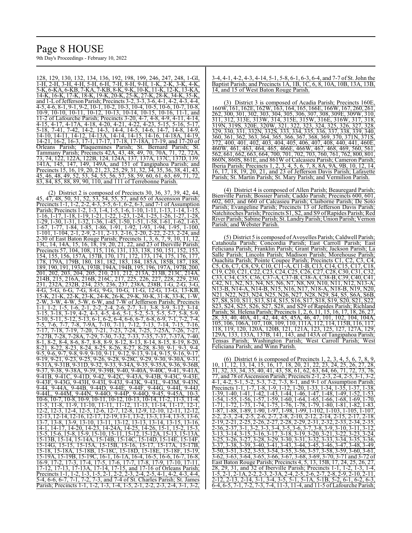128, 129, 130, 132, 134, 136, 192, 198, 199, 246, 247, 248, 1-GI, 1-H, 2-H, 3-H, 4-H, 5-H, 6-H, 7-H, 8-H, 9-H, 1-K, 2-K, 3-K, 4-K, 5-K, 6-KA, 6-KB, 7-KA, 7-KB, 8-K, 9-K, 10-K, 11-K, 12-K, 13-KA, 14-K, 16-K, 17-K, 18-K, 19-K, 20-K, 25-K, 27-K, 28-K, 34-K, 35-K, and 1-LofJefferson Parish; Precincts 3-2, 3-3, 3-6, 4-1, 4-2, 4-3, 4-4, 4-5, 4-6, 8-1, 9-1, 9-2, 10-1, 10-2, 10-3, 10-4, 10-5, 10-6, 10-7, 10-8, 10-9, 10-10, 10-11, 10-12, 10-13, 10-14, 10-15, 10-16, 11-1, and 11-2 of Lafourche Parish; Precincts 3-20, 4-7, 4-8, 4-9, 4-11, 4-14, 4-15, 4-17, 4-17A, 4-18, 4-20, 4-21, 4-22, 4-23, 5-15, 5-16, 5-17, 5-18, 7-41, 7-42, 14-2, 14-3, 14-4, 14-5, 14-6, 14-7, 14-8, 14-9, 14-10, 14-11, 14-12, 14-13A, 14-14, 14-15, 14-16, 14-18A, 14-19, 14-21, 16-2, 16-3, 17-1, 17-17, 17-18, 17-18A, 17-19, and 17-20 of Orleans Parish; Plaquemines Parish; St. Bernard Parish; St. Tammany Parish; Precincts 42A, 43, 48, 49, 70, 70A, 71, 72, 72A, 73, 74, 122, 122A, 122B, 124, 124A, 137, 137A, 137C, 137D, 139, 141A, 145, 147, 149, 149A, and 151 of Tangipahoa Parish; and Precincts 15, 16, 19, 20, 21, 23, 25, 29, 31, 32, 34, 35, 36, 38, 41, 43, 45, 46, 48, 49, 52, 53, 54, 55, 56, 57, 58, 59, 60, 61, 63, 69, 71, 72, 83, 84, 85, 88, 89, 90, 110, and 111 of Terrebonne Parish.

(2) District 2 is composed of Precincts 30, 36, 37, 39, 42, 44, 45, 47, 48, 50, 51, 52, 53, 54, 55, 57, and 65 of Ascension Parish; Precincts 1-1, 1-2, 2-2, 4-3, 5-5, 6-1, 6-2, 6-3, and 7-1 of Assumption Parish; Precincts 1-2, 1-3, 1-4, 1-5, 1-6, 1-10, 1-11, 1-13, 1-14, 1-15, 1-16, 1-17, 1-18, 1-19, 1-21, 1-22, 1-23, 1-24, 1-25, 1-26, 1-27, 1-28, 1-29, 1-30, 1-31, 1-32, 1-36, 1-45, 1-50, 1-51, 1-58, 1-61, 1-62, 1-63, 1-67, 1-77, 1-84, 1-85, 1-86, 1-91, 1-92, 1-93, 1-94, 1-95, 1-100, 1-101, 1-104, 2-1, 2-9, 2-11, 2-13, 2-16, 2-20, 2-22, 2-23, 2-24, and 2-30 of East Baton Rouge Parish; Precincts 1, 3, 6, 7, 9, 10, 11, 12, 13C, 14, 14A, 15, 16, 18, 19, 20, 21, 22, and 23 of Iberville Parish; <u>Precincts 57, 104, 108, 115, 116, 131, 133, 138, 150, 151, 152, 153.</u> 154, 155, 156, 157A, 157B, 170, 171, 172, 173, 174, 175, 176, 177, 178, 179A, 179B, 180, 181, 182, 183, 184, 185A, 185B, 187, 188, 189, 190, 191, 193A, 193B, 194A, 194B, 195, 196, 197A, 197B, 200, 201, 202, 203, 204, 205, 210, 211, 212, 213A, 213B, 213C, 214A, 214B, 215, 216A, 216B, 216C, 217, 225, 226, 227, 228, 229, 230, 231, 232A, 232B, 234, 235, 236, 237, 238A, 238B, 1-G, 2-G, 3-G, 4-G, 5-G, 6-G, 7-G, 8-G, 9-G, 10-G, 11-G, 12-G, 13-G, 13-KB, 15-K, 21-K, 22-K, 23-K, 24-K, 26-K, 29-K, 30-K, 31-K, 33-K, 1-W, 2-W, 3-W, 4-W, 5-W, 6-W, and 7-W of Jefferson Parish; Precincts 1-1, 1-2, 1-5, 1-6, 2-1, 2-2, 2-4, 2-6, 2-7, 3-1, 3-8, 3-9, 3-12, 3-14, 3-15, 3-18, 3-19, 4-2, 4-3, 4-5, 4-6, 5-1, 5-2, 5-3, 5-5, 5-7, 5-8, 5-9, 5-10, 5-11, 5-12, 5-13, 6-1, 6-2, 6-4, 6-6, 6-7, 6-8, 6-9, 7-1, 7-2, 7-4, 7-5, 7-6, 7-7, 7-8, 7-9A, 7-10, 7-11, 7-12, 7-13, 7-14, 7-15, 7-16, 7-17, 7-18, 7-19, 7-20, 7-21, 7-23, 7-24, 7-25, 7-25A, 7-26, 7-27, 7-27B, 7-28, 7-28A, 7-29, 7-30, 7-32, 7-33, 7-35, 7-37, 7-37A, 7-40, 8-1, 8-2, 8-4, 8-6, 8-7, 8-8, 8-9, 8-12, 8-13, 8-14, 8-15, 8-19, 8-20, 8-21, 8-22, 8-23, 8-24, 8-25, 8-26, 8-27, 8-28, 8-30, 9-1, 9-3, 9-4, 9-5, 9-6, 9-7, 9-8, 9-9, 9-10, 9-11, 9-12, 9-13, 9-14, 9-15, 9-16, 9-17, 9-19, 9-21, 9-23, 9-25, 9-26, 9-28, 9-28C, 9-29, 9-30, 9-30A, 9-31, 9-31A, 9-31B, 9-31D, 9-32, 9-33, 9-34A, 9-35, 9-35A, 9-36, 9-36B, 9-37, 9-38, 9-38A, 9-39, 9-39B, 9-40, 9-40A, 9-40C, 9-41, 9-41A, 9-41B, 9-41C, 9-41D, 9-42, 9-42C, 9-43A, 9-43B, 9-43C, 9-43E, 9-43F, 9-43G, 9-43H, 9-43I, 9-43J, 9-43K, 9-43L, 9-43M, 9-43N, 9-44, 9-44A, 9-44B, 9-44D, 9-44E, 9-44F, 9-44G, 9-44I, 9-44J, 9-44L, 9-44M, 9-44N, 9-44O, 9-44P, 9-44Q, 9-45, 9-45A, 10-3, 10-6, 10-7, 10-8, 10-9, 10-11, 10-12, 10-13, 10-14, 11-2, 11-3, 11-4, 11-5, 11-8, 11-9, 11-10, 11-11, 11-12, 11-13, 11-14, 11-17, 12-1, 12-2, 12-3, 12-4, 12-5, 12-6, 12-7, 12-8, 12-9, 12-10, 12-11, 12-12, 12-13, 12-14, 12-16, 12-17, 12-19, 13-1, 13-2, 13-3, 13-4, 13-5, 13-6, 13-7, 13-8, 13-9, 13-10, 13-11, 13-12, 13-13, 13-14, 13-15, 13-16, 14-1, 14-17, 14-20, 14-23, 14-24A, 14-25, 14-26, 15-1, 15-2, 15-3, 15-5, 15-6, 15-8, 15-9, 15-10, 15-11, 15-12, 15-12A, 15-13, 15-13A, 15-13B, 15-14, 15-14A, 15-14B, 15-14C, 15-14D, 15-14E, 15-14F, 15-14G, 15-15, 15-15A, 15-15B, 15-16, 15-17, 15-17A, 15-17B, 15-18, 15-18A, 15-18B, 15-18C, 15-18D, 15-18E, 15-18F, 15-19, 15-19A, 15-19B, 15-19C, 16-1, 16-1A, 16-4, 16-5, 16-6, 16-7, 16-8, 16-9, 17-2, 17-3, 17-4, 17-5, 17-6, 17-7, 17-8, 17-9, 17-10, 17-11, 17-12, 17-13, 17-13A, 17-14, 17-15, and 17-16 of Orleans Parish; Precincts 1-1, 1-2, 1-3, 1-5, 2-1, 2-2, 2-3, 2-4, 2-5, 4-1, 4-2, 4-3, 4-4, 5-4, 6-6, 6-7, 7-1, 7-2, 7-3, and 7-4 of St. Charles Parish; St. James Parish; Precincts 1-1, 1-2, 1-3, 1-4, 1-5, 2-1, 2-2, 2-3, 2-4, 3-1, 3-2,

3-4, 4-1, 4-2, 4-3, 4-14, 5-1, 5-8, 6-1, 6-3, 6-4, and 7-7 of St. John the Baptist Parish; and Precincts 1A, 1B, 1C, 6, 8, 10A, 10B, 13A, 13B, 14, and 15 of West Baton Rouge Parish.

(3) District 3 is composed of Acadia Parish; Precincts 160E, 160W, 161, 162E, 162W, 163, 164, 165, 166E, 166W, 167, 260, 261, 262, 300, 301, 302, 303, 304, 305, 306, 307, 308, 309E, 309W, 310, 311, 312, 313E, 313W, 314, 315E, 315W, 316E, 316W, 317, 318, 319N, 319S, 320E, 320W, 321, 322, 323, 324, 325, 326, 327, 328, 329, 330, 331, 332N, 332S, 333, 334, 335, 336, 337, 338, 339, 340, 360, 361, 362, 363, 364, 365, 366, 367, 368, 369, 370, 371N, 371S, 372, 400, 401, 402, 403, 404, 405, 406, 407, 408, 440, 441, 460E, 460W, 461, 463, 464, 465, 466E, 466W, 467, 468, 469, 560, 561, 562, 661, 662, 663, 664, 700, 701, 702, 703, 760, 761, 762, 800, 801, 860N, 860S, 861E, and 861W of Calcasieu Parish; Cameron Parish; Iberia Parish; Precincts 1, 2, 3, 4, 5, 6, 7, 8, 8A, 9A, 9B, 10, 12, 14, 16, 17, 18, 19, 20, 21, and 23 of Jefferson Davis Parish; Lafayette Parish; St. Martin Parish; St. Mary Parish; and Vermilion Parish.

(4) District 4 is composed of Allen Parish; Beauregard Parish; Bienville Parish; Bossier Parish; Caddo Parish; Precincts 600, 601, 602, 603, and 660 of Calcasieu Parish; Claiborne Parish; De Soto Parish; Evangeline Parish; Precincts 13 of Jefferson Davis Parish; Natchitoches Parish; Precincts S1, S2, and S9 ofRapides Parish; Red River Parish; Sabine Parish; St. LandryParish; Union Parish; Vernon Parish; and Webster Parish.

(5) District 5 is composed ofAvoyelles Parish; Caldwell Parish; Catahoula Parish; Concordia Parish; East Carroll Parish; East Feliciana Parish; Franklin Parish; Grant Parish; Jackson Parish; La Salle Parish; Lincoln Parish; Madison Parish; Morehouse Parish; Ouachita Parish; Pointe Coupee Parish; Precincts C1, C2, C3, C4, C5, C6, C7, C8, C9, C10, C11-A, C11-B, C13, C14, C15, C17, C18, C19, C20, C21, C22, C23, C24, C25, C26, C27, C28, C30, C31, C32, C33, C34, C35, C36, C37-A, C37-B, C38-A, C38-B, C39, C40, C41, C42, N1, N2, N3, N4, N5, N6, N7, N8, N9, N10, N11, N12, N13-A, N13-B, N14-A, N14-B, N15, N16, N17, N18-A, N18-B, N19, N20, N21, N22, N23, N24, N25, N26, N27, N28, N29, S4, S5, S6A, S6B, S7, S8, S10, S11, S13, S14, S15, S16, S17, S18, S19, S20, S21, S22, S23, S24, S25, S26, S27, S28, and S29 of Rapides Parish; Richland Parish; St. Helena Parish; Precincts 1, 2, 6, 11, 15, 16, 17, 18, 26, 27, 28, 33, 40, 40A, 41, 42, 44, 45, 45A, 46, 47, 101, 102, 104, 104A, 105, 106, 106A, 107, 108, 109, 110, 111A, 112, 114, 115B, 116, 117, 118, 119, 120, 120A, 120B, 121, 121A, 123, 125, 127, 127A, 129, 129A, 133, 133A, 137B, 141, 143, and 143A of Tangipahoa Parish; Tensas Parish; Washington Parish; West Carroll Parish; West Feliciana Parish; and Winn Parish.

(6) District 6 is composed of Precincts 1, 2, 3, 4, 5, 6, 7, 8, 9, 10, 11, 12, 13, 14, 15, 16, 17, 18, 20, 21, 22, 23, 24, 25, 26, 27, 28, 31, 32, 33, 34, 35, 40, 41, 43, 58, 61, 62, 63, 64, 66, 71, 72, 73, 76, 77, and 78 of Ascension Parish; Precincts 2-1, 2-3, 2-4, 2-5, 3-1, 3-2, 4-1, 4-2, 5-1, 5-2, 5-3, 7-2, 7-3, 8-1, and 9-1 of Assumption Parish; Precincts 1-1, 1-7, 1-8, 1-9, 1-12, 1-20, 1-33, 1-34, 1-35, 1-37, 1-38, 1-39, 1-40, 1-41, 1-42, 1-43, 1-44, 1-46, 1-47, 1-48, 1-49, 1-52, 1-53, 1-54, 1-55, 1-56, 1-57, 1-59, 1-60, 1-64, 1-65, 1-66, 1-68, 1-69, 1-70, 1-71, 1-72, 1-73, 1-74, 1-75, 1-76, 1-78, 1-79, 1-80, 1-81, 1-82, 1-83, 1-87, 1-88, 1-89, 1-90, 1-97, 1-98, 1-99, 1-102, 1-103, 1-105, 1-107, 2-2, 2-3, 2-4, 2-5, 2-6, 2-7, 2-8, 2-10, 2-12, 2-14, 2-15, 2-17, 2-18, 2-19, 2-21, 2-25, 2-26, 2-27, 2-28, 2-29, 2-31, 2-32, 2-33, 2-34, 2-35, 2-36, 2-37, 3-1, 3-2, 3-3, 3-4, 3-5, 3-6, 3-7, 3-8, 3-9, 3-10, 3-11, 3-12, 3-13, 3-14, 3-15, 3-16, 3-17, 3-18, 3-19, 3-20, 3-21, 3-22, 3-23, 3-24, 3-25, 3-26, 3-27, 3-28, 3-29, 3-30, 3-31, 3-32, 3-33, 3-34, 3-35, 3-36, 3-37, 3-38, 3-39, 3-40, 3-41, 3-43, 3-44, 3-45, 3-46, 3-47, 3-48, 3-49, 3-50, 3-51, 3-52, 3-53, 3-54, 3-55, 3-56, 3-57, 3-58, 3-59, 3-60, 3-61, 3-62, 3-63, 3-64, 3-65, 3-66, 3-67, 3-68, 3-69, 3-70, 3-71 and 3-72 of East Baton Rouge Parish; Precincts 4, 5, 13, 15B, 17, 24, 25, 26, 27, 28, 29, 31, and 32 of Iberville Parish; Precincts 1-1, 1-2, 1-3, 1-4, 1-5, 2-1, 2-1A, 2-2, 2-3, 2-3A, 2-4, 2-5, 2-6, 2-7, 2-8, 2-9, 2-10, 2-11, 2-12, 2-13, 2-14, 3-1, 3-4, 3-5, 5-1, 5-1A, 5-1B, 5-2, 6-1, 6-2, 6-3, 6-4, 6-5, 7-1, 7-2, 7-3, 7-4, 11-3, 11-4, and 11-5 of Lafourche Parish;